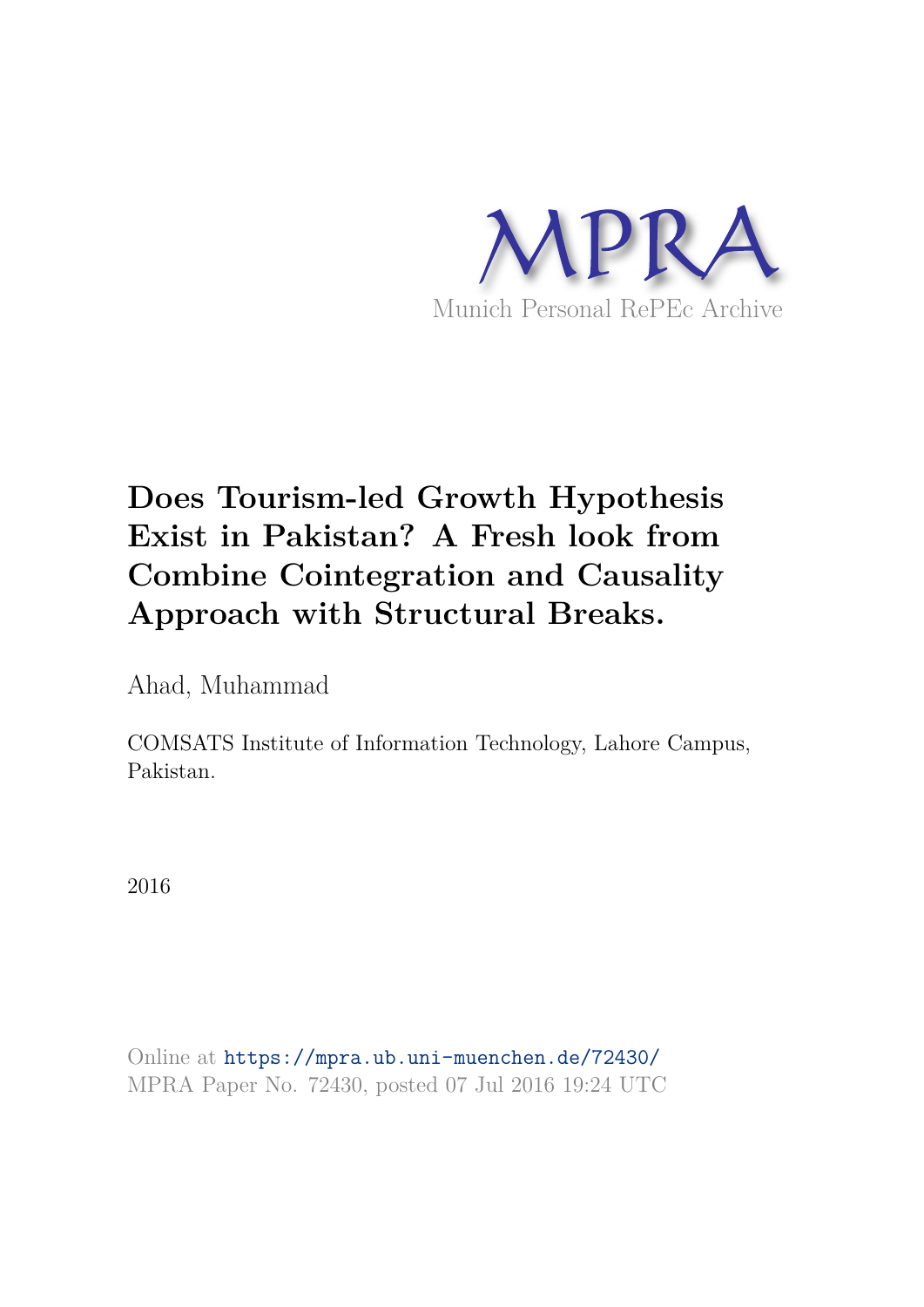

Ahad, Muhammad

COMSATS Institute of Information Technology, Lahore Campus, Pakistan.

2016

Online at https://mpra.ub.uni-muenchen.de/72430/ MPRA Paper No. 72430, posted 07 Jul 2016 19:24 UTC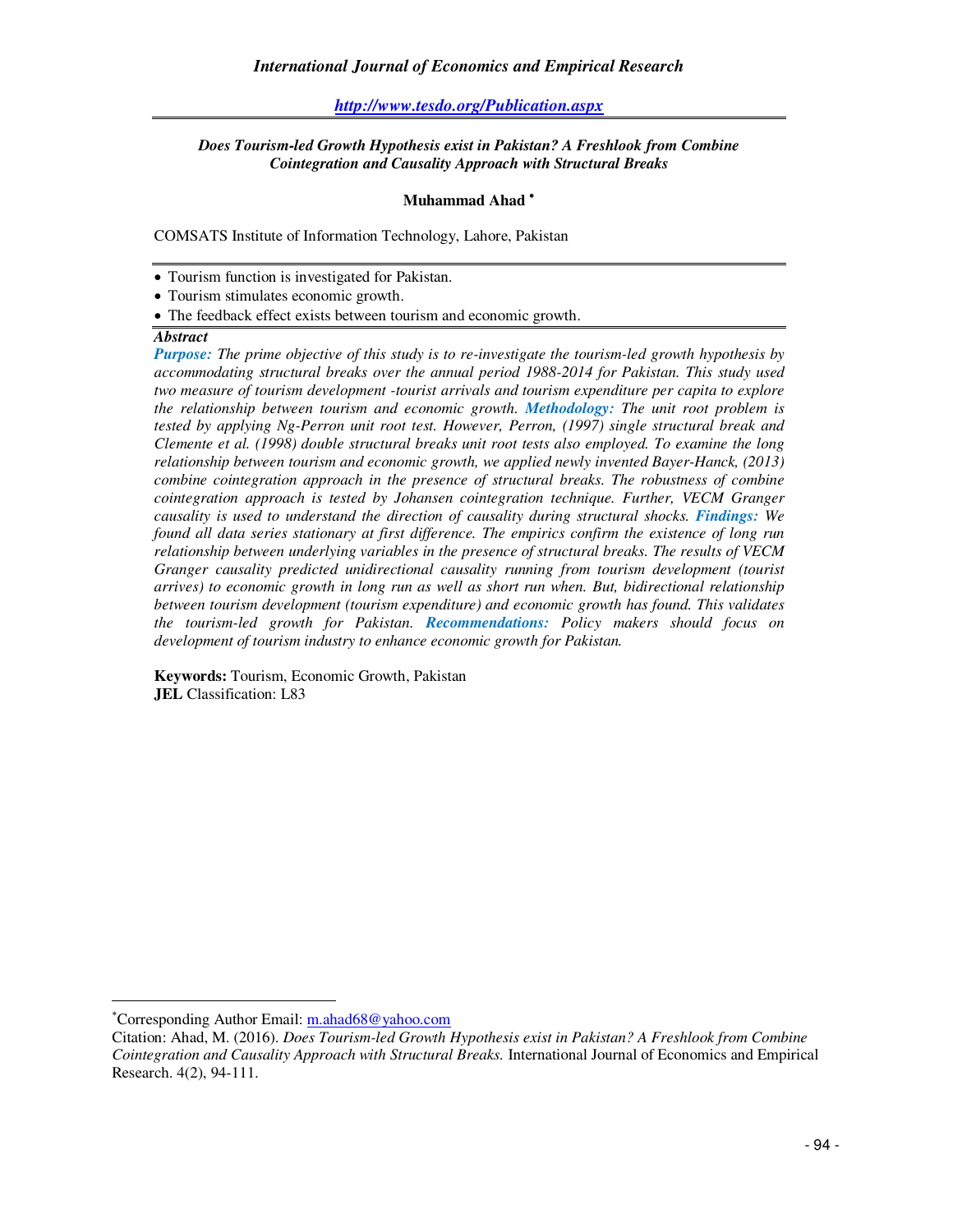#### *http://www.tesdo.org/Publication.aspx*

#### *Does Tourism-led Growth Hypothesis exist in Pakistan? A Freshlook from Combine Cointegration and Causality Approach with Structural Breaks*

#### **Muhammad Ahad**

COMSATS Institute of Information Technology, Lahore, Pakistan

- Tourism function is investigated for Pakistan.
- Tourism stimulates economic growth.
- The feedback effect exists between tourism and economic growth.

### *Abstract*

*Purpose: The prime objective of this study is to re-investigate the tourism-led growth hypothesis by accommodating structural breaks over the annual period 1988-2014 for Pakistan. This study used two measure of tourism development -tourist arrivals and tourism expenditure per capita to explore the relationship between tourism and economic growth. Methodology: The unit root problem is tested by applying Ng-Perron unit root test. However, Perron, (1997) single structural break and Clemente et al. (1998) double structural breaks unit root tests also employed. To examine the long relationship between tourism and economic growth, we applied newly invented Bayer-Hanck, (2013) combine cointegration approach in the presence of structural breaks. The robustness of combine cointegration approach is tested by Johansen cointegration technique. Further, VECM Granger causality is used to understand the direction of causality during structural shocks. Findings: We found all data series stationary at first difference. The empirics confirm the existence of long run relationship between underlying variables in the presence of structural breaks. The results of VECM Granger causality predicted unidirectional causality running from tourism development (tourist arrives) to economic growth in long run as well as short run when. But, bidirectional relationship between tourism development (tourism expenditure) and economic growth has found. This validates the tourism-led growth for Pakistan. Recommendations: Policy makers should focus on development of tourism industry to enhance economic growth for Pakistan.*

**Keywords:** Tourism, Economic Growth, Pakistan **JEL** Classification: L83

j

Corresponding Author Email: m.ahad68@yahoo.com

Citation: Ahad, M. (2016). *Does Tourism-led Growth Hypothesis exist in Pakistan? A Freshlook from Combine Cointegration and Causality Approach with Structural Breaks.* International Journal of Economics and Empirical Research. 4(2), 94-111.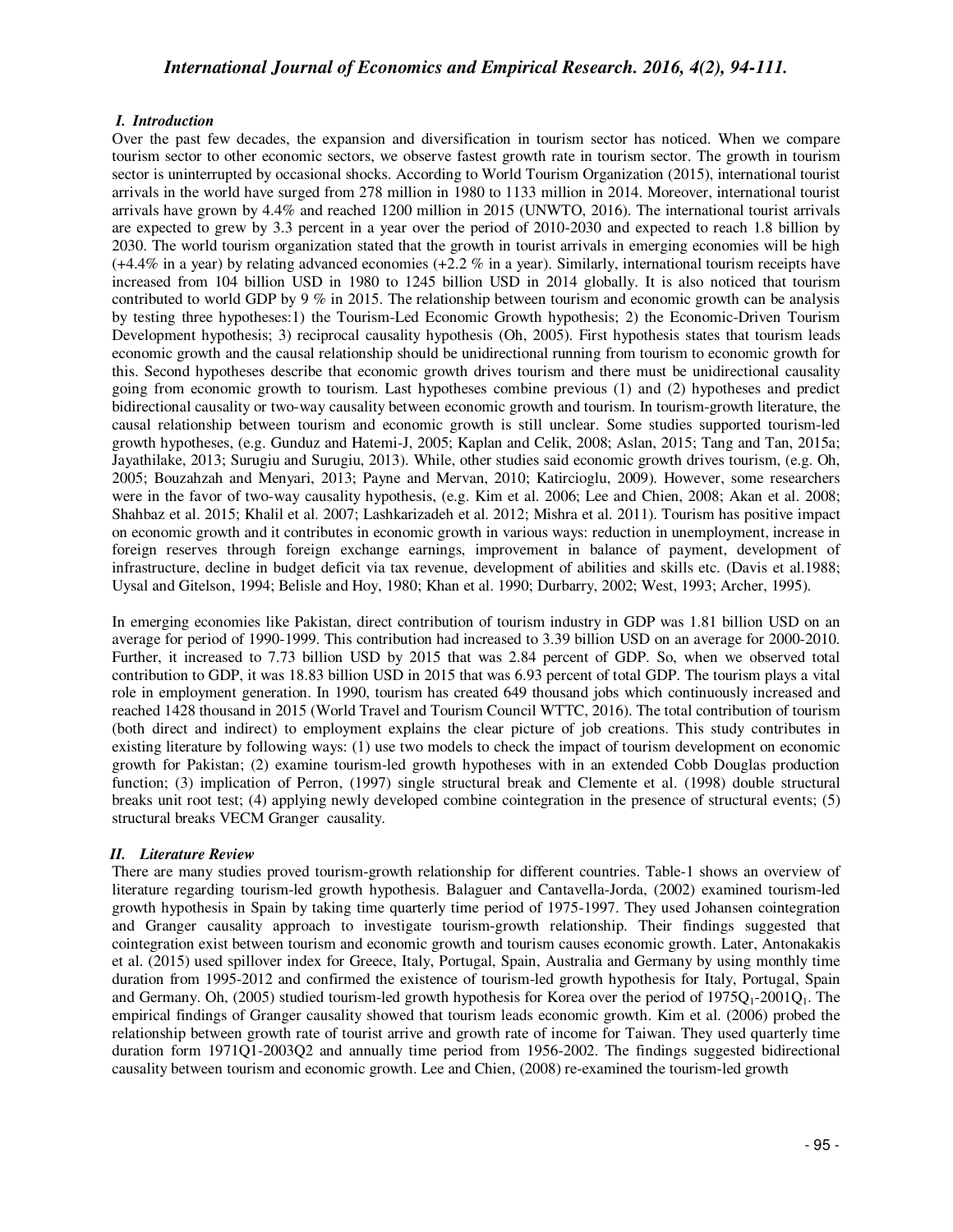#### *I. Introduction*

Over the past few decades, the expansion and diversification in tourism sector has noticed. When we compare tourism sector to other economic sectors, we observe fastest growth rate in tourism sector. The growth in tourism sector is uninterrupted by occasional shocks. According to World Tourism Organization (2015), international tourist arrivals in the world have surged from 278 million in 1980 to 1133 million in 2014. Moreover, international tourist arrivals have grown by 4.4% and reached 1200 million in 2015 (UNWTO, 2016). The international tourist arrivals are expected to grew by 3.3 percent in a year over the period of 2010-2030 and expected to reach 1.8 billion by 2030. The world tourism organization stated that the growth in tourist arrivals in emerging economies will be high (+4.4% in a year) by relating advanced economies (+2.2 % in a year). Similarly, international tourism receipts have increased from 104 billion USD in 1980 to 1245 billion USD in 2014 globally. It is also noticed that tourism contributed to world GDP by 9 % in 2015. The relationship between tourism and economic growth can be analysis by testing three hypotheses:1) the Tourism-Led Economic Growth hypothesis; 2) the Economic-Driven Tourism Development hypothesis; 3) reciprocal causality hypothesis (Oh, 2005). First hypothesis states that tourism leads economic growth and the causal relationship should be unidirectional running from tourism to economic growth for this. Second hypotheses describe that economic growth drives tourism and there must be unidirectional causality going from economic growth to tourism. Last hypotheses combine previous (1) and (2) hypotheses and predict bidirectional causality or two-way causality between economic growth and tourism. In tourism-growth literature, the causal relationship between tourism and economic growth is still unclear. Some studies supported tourism-led growth hypotheses, (e.g. Gunduz and Hatemi-J, 2005; Kaplan and Celik, 2008; Aslan, 2015; Tang and Tan, 2015a; Jayathilake, 2013; Surugiu and Surugiu, 2013). While, other studies said economic growth drives tourism, (e.g. Oh, 2005; Bouzahzah and Menyari, 2013; Payne and Mervan, 2010; Katircioglu, 2009). However, some researchers were in the favor of two-way causality hypothesis, (e.g. Kim et al. 2006; Lee and Chien, 2008; Akan et al. 2008; Shahbaz et al. 2015; Khalil et al. 2007; Lashkarizadeh et al. 2012; Mishra et al. 2011). Tourism has positive impact on economic growth and it contributes in economic growth in various ways: reduction in unemployment, increase in foreign reserves through foreign exchange earnings, improvement in balance of payment, development of infrastructure, decline in budget deficit via tax revenue, development of abilities and skills etc. (Davis et al.1988; Uysal and Gitelson, 1994; Belisle and Hoy, 1980; Khan et al. 1990; Durbarry, 2002; West, 1993; Archer, 1995).

In emerging economies like Pakistan, direct contribution of tourism industry in GDP was 1.81 billion USD on an average for period of 1990-1999. This contribution had increased to 3.39 billion USD on an average for 2000-2010. Further, it increased to 7.73 billion USD by 2015 that was 2.84 percent of GDP. So, when we observed total contribution to GDP, it was 18.83 billion USD in 2015 that was 6.93 percent of total GDP. The tourism plays a vital role in employment generation. In 1990, tourism has created 649 thousand jobs which continuously increased and reached 1428 thousand in 2015 (World Travel and Tourism Council WTTC, 2016). The total contribution of tourism (both direct and indirect) to employment explains the clear picture of job creations. This study contributes in existing literature by following ways: (1) use two models to check the impact of tourism development on economic growth for Pakistan; (2) examine tourism-led growth hypotheses with in an extended Cobb Douglas production function; (3) implication of Perron, (1997) single structural break and Clemente et al. (1998) double structural breaks unit root test; (4) applying newly developed combine cointegration in the presence of structural events; (5) structural breaks VECM Granger causality.

#### *II. Literature Review*

There are many studies proved tourism-growth relationship for different countries. Table-1 shows an overview of literature regarding tourism-led growth hypothesis. Balaguer and Cantavella-Jorda, (2002) examined tourism-led growth hypothesis in Spain by taking time quarterly time period of 1975-1997. They used Johansen cointegration and Granger causality approach to investigate tourism-growth relationship. Their findings suggested that cointegration exist between tourism and economic growth and tourism causes economic growth. Later, Antonakakis et al. (2015) used spillover index for Greece, Italy, Portugal, Spain, Australia and Germany by using monthly time duration from 1995-2012 and confirmed the existence of tourism-led growth hypothesis for Italy, Portugal, Spain and Germany. Oh,  $(2005)$  studied tourism-led growth hypothesis for Korea over the period of  $1975Q<sub>1</sub>$ -2001Q<sub>1</sub>. The empirical findings of Granger causality showed that tourism leads economic growth. Kim et al. (2006) probed the relationship between growth rate of tourist arrive and growth rate of income for Taiwan. They used quarterly time duration form 1971Q1-2003Q2 and annually time period from 1956-2002. The findings suggested bidirectional causality between tourism and economic growth. Lee and Chien, (2008) re-examined the tourism-led growth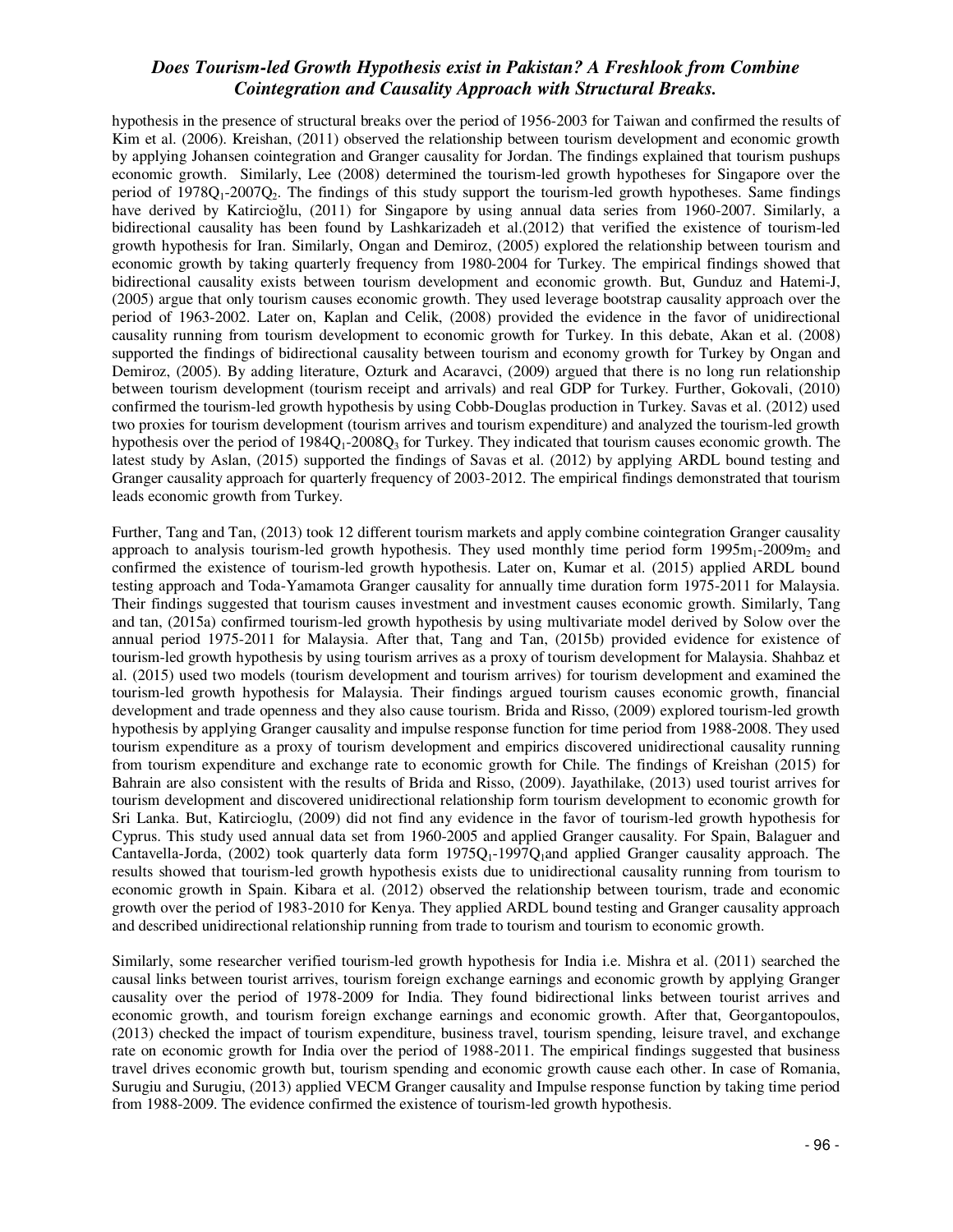hypothesis in the presence of structural breaks over the period of 1956-2003 for Taiwan and confirmed the results of Kim et al. (2006). Kreishan, (2011) observed the relationship between tourism development and economic growth by applying Johansen cointegration and Granger causality for Jordan. The findings explained that tourism pushups economic growth. Similarly, Lee (2008) determined the tourism-led growth hypotheses for Singapore over the period of  $1978Q_1-2007Q_2$ . The findings of this study support the tourism-led growth hypotheses. Same findings have derived by Katircioğlu, (2011) for Singapore by using annual data series from 1960-2007. Similarly, a bidirectional causality has been found by Lashkarizadeh et al.(2012) that verified the existence of tourism-led growth hypothesis for Iran. Similarly, Ongan and Demiroz, (2005) explored the relationship between tourism and economic growth by taking quarterly frequency from 1980-2004 for Turkey. The empirical findings showed that bidirectional causality exists between tourism development and economic growth. But, Gunduz and Hatemi-J, (2005) argue that only tourism causes economic growth. They used leverage bootstrap causality approach over the period of 1963-2002. Later on, Kaplan and Celik, (2008) provided the evidence in the favor of unidirectional causality running from tourism development to economic growth for Turkey. In this debate, Akan et al. (2008) supported the findings of bidirectional causality between tourism and economy growth for Turkey by Ongan and Demiroz, (2005). By adding literature, Ozturk and Acaravci, (2009) argued that there is no long run relationship between tourism development (tourism receipt and arrivals) and real GDP for Turkey. Further, Gokovali, (2010) confirmed the tourism-led growth hypothesis by using Cobb-Douglas production in Turkey. Savas et al. (2012) used two proxies for tourism development (tourism arrives and tourism expenditure) and analyzed the tourism-led growth hypothesis over the period of  $1984Q_1$ -2008 $Q_3$  for Turkey. They indicated that tourism causes economic growth. The latest study by Aslan, (2015) supported the findings of Savas et al. (2012) by applying ARDL bound testing and Granger causality approach for quarterly frequency of 2003-2012. The empirical findings demonstrated that tourism leads economic growth from Turkey.

Further, Tang and Tan, (2013) took 12 different tourism markets and apply combine cointegration Granger causality approach to analysis tourism-led growth hypothesis. They used monthly time period form  $1995m<sub>1</sub>$ -2009m<sub>2</sub> and confirmed the existence of tourism-led growth hypothesis. Later on, Kumar et al. (2015) applied ARDL bound testing approach and Toda-Yamamota Granger causality for annually time duration form 1975-2011 for Malaysia. Their findings suggested that tourism causes investment and investment causes economic growth. Similarly, Tang and tan, (2015a) confirmed tourism-led growth hypothesis by using multivariate model derived by Solow over the annual period 1975-2011 for Malaysia. After that, Tang and Tan, (2015b) provided evidence for existence of tourism-led growth hypothesis by using tourism arrives as a proxy of tourism development for Malaysia. Shahbaz et al. (2015) used two models (tourism development and tourism arrives) for tourism development and examined the tourism-led growth hypothesis for Malaysia. Their findings argued tourism causes economic growth, financial development and trade openness and they also cause tourism. Brida and Risso, (2009) explored tourism-led growth hypothesis by applying Granger causality and impulse response function for time period from 1988-2008. They used tourism expenditure as a proxy of tourism development and empirics discovered unidirectional causality running from tourism expenditure and exchange rate to economic growth for Chile. The findings of Kreishan (2015) for Bahrain are also consistent with the results of Brida and Risso, (2009). Jayathilake, (2013) used tourist arrives for tourism development and discovered unidirectional relationship form tourism development to economic growth for Sri Lanka. But, Katircioglu, (2009) did not find any evidence in the favor of tourism-led growth hypothesis for Cyprus. This study used annual data set from 1960-2005 and applied Granger causality. For Spain, Balaguer and Cantavella-Jorda, (2002) took quarterly data form  $1975Q_1$ -1997Q<sub>1</sub>and applied Granger causality approach. The results showed that tourism-led growth hypothesis exists due to unidirectional causality running from tourism to economic growth in Spain. Kibara et al. (2012) observed the relationship between tourism, trade and economic growth over the period of 1983-2010 for Kenya. They applied ARDL bound testing and Granger causality approach and described unidirectional relationship running from trade to tourism and tourism to economic growth.

Similarly, some researcher verified tourism-led growth hypothesis for India i.e. Mishra et al. (2011) searched the causal links between tourist arrives, tourism foreign exchange earnings and economic growth by applying Granger causality over the period of 1978-2009 for India. They found bidirectional links between tourist arrives and economic growth, and tourism foreign exchange earnings and economic growth. After that, Georgantopoulos, (2013) checked the impact of tourism expenditure, business travel, tourism spending, leisure travel, and exchange rate on economic growth for India over the period of 1988-2011. The empirical findings suggested that business travel drives economic growth but, tourism spending and economic growth cause each other. In case of Romania, Surugiu and Surugiu, (2013) applied VECM Granger causality and Impulse response function by taking time period from 1988-2009. The evidence confirmed the existence of tourism-led growth hypothesis.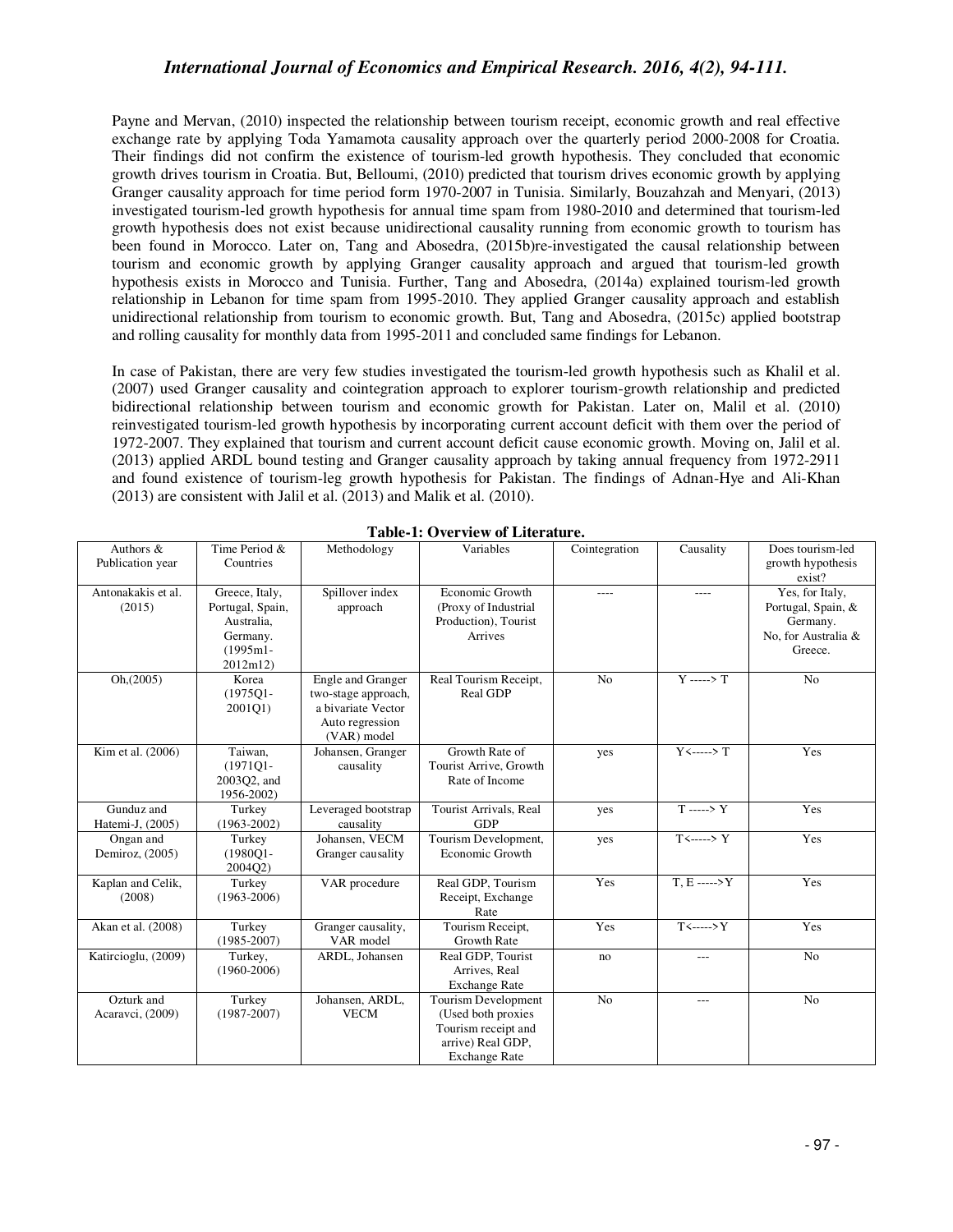Payne and Mervan, (2010) inspected the relationship between tourism receipt, economic growth and real effective exchange rate by applying Toda Yamamota causality approach over the quarterly period 2000-2008 for Croatia. Their findings did not confirm the existence of tourism-led growth hypothesis. They concluded that economic growth drives tourism in Croatia. But, Belloumi, (2010) predicted that tourism drives economic growth by applying Granger causality approach for time period form 1970-2007 in Tunisia. Similarly, Bouzahzah and Menyari, (2013) investigated tourism-led growth hypothesis for annual time spam from 1980-2010 and determined that tourism-led growth hypothesis does not exist because unidirectional causality running from economic growth to tourism has been found in Morocco. Later on, Tang and Abosedra, (2015b)re-investigated the causal relationship between tourism and economic growth by applying Granger causality approach and argued that tourism-led growth hypothesis exists in Morocco and Tunisia. Further, Tang and Abosedra, (2014a) explained tourism-led growth relationship in Lebanon for time spam from 1995-2010. They applied Granger causality approach and establish unidirectional relationship from tourism to economic growth. But, Tang and Abosedra, (2015c) applied bootstrap and rolling causality for monthly data from 1995-2011 and concluded same findings for Lebanon.

In case of Pakistan, there are very few studies investigated the tourism-led growth hypothesis such as Khalil et al. (2007) used Granger causality and cointegration approach to explorer tourism-growth relationship and predicted bidirectional relationship between tourism and economic growth for Pakistan. Later on, Malil et al. (2010) reinvestigated tourism-led growth hypothesis by incorporating current account deficit with them over the period of 1972-2007. They explained that tourism and current account deficit cause economic growth. Moving on, Jalil et al. (2013) applied ARDL bound testing and Granger causality approach by taking annual frequency from 1972-2911 and found existence of tourism-leg growth hypothesis for Pakistan. The findings of Adnan-Hye and Ali-Khan (2013) are consistent with Jalil et al. (2013) and Malik et al. (2010).

| Authors &<br>Publication year  | Time Period &<br>Countries                                                              | Methodology                                                                                      | Variables                                                                                                            | Cointegration  | Causality                    | Does tourism-led<br>growth hypothesis<br>exist?                                     |
|--------------------------------|-----------------------------------------------------------------------------------------|--------------------------------------------------------------------------------------------------|----------------------------------------------------------------------------------------------------------------------|----------------|------------------------------|-------------------------------------------------------------------------------------|
| Antonakakis et al.<br>(2015)   | Greece, Italy,<br>Portugal, Spain,<br>Australia,<br>Germany.<br>$(1995m1 -$<br>2012m12) | Spillover index<br>approach                                                                      | Economic Growth<br>(Proxy of Industrial<br>Production), Tourist<br>Arrives                                           | $---$          | $---$                        | Yes, for Italy,<br>Portugal, Spain, &<br>Germany.<br>No, for Australia &<br>Greece. |
| Oh, (2005)                     | Korea<br>$(1975Q1 -$<br>2001Q1)                                                         | Engle and Granger<br>two-stage approach,<br>a bivariate Vector<br>Auto regression<br>(VAR) model | Real Tourism Receipt,<br>Real GDP                                                                                    | N <sub>o</sub> | $Y \longrightarrow Y$        | N <sub>o</sub>                                                                      |
| Kim et al. (2006)              | Taiwan,<br>$(1971Q1 -$<br>2003O2, and<br>1956-2002)                                     | Johansen, Granger<br>causality                                                                   | Growth Rate of<br>Tourist Arrive, Growth<br>Rate of Income                                                           | yes            | $Y \leftarrow \rightarrow T$ | Yes                                                                                 |
| Gunduz and<br>Hatemi-J, (2005) | Turkey<br>$(1963 - 2002)$                                                               | Leveraged bootstrap<br>causality                                                                 | Tourist Arrivals, Real<br><b>GDP</b>                                                                                 | yes            | $T \longrightarrow Y$        | Yes                                                                                 |
| Ongan and<br>Demiroz, (2005)   | Turkey<br>$(1980Q1 -$<br>2004Q2)                                                        | Johansen, VECM<br>Granger causality                                                              | Tourism Development,<br>Economic Growth                                                                              | yes            | $T$ <-----> Y                | Yes                                                                                 |
| Kaplan and Celik,<br>(2008)    | Turkey<br>$(1963 - 2006)$                                                               | VAR procedure                                                                                    | Real GDP, Tourism<br>Receipt, Exchange<br>Rate                                                                       | Yes            | $T, E$ ----->Y               | Yes                                                                                 |
| Akan et al. (2008)             | Turkey<br>$(1985 - 2007)$                                                               | Granger causality,<br>VAR model                                                                  | Tourism Receipt,<br><b>Growth Rate</b>                                                                               | Yes            | $T$ <----->Y                 | Yes                                                                                 |
| Katircioglu, (2009)            | Turkey,<br>$(1960 - 2006)$                                                              | ARDL, Johansen                                                                                   | Real GDP, Tourist<br>Arrives, Real<br><b>Exchange Rate</b>                                                           | no             | $---$                        | N <sub>o</sub>                                                                      |
| Ozturk and<br>Acaravci, (2009) | Turkey<br>$(1987 - 2007)$                                                               | Johansen, ARDL,<br><b>VECM</b>                                                                   | <b>Tourism Development</b><br>(Used both proxies<br>Tourism receipt and<br>arrive) Real GDP,<br><b>Exchange Rate</b> | N <sub>o</sub> | $---$                        | N <sub>o</sub>                                                                      |

**Table-1: Overview of Literature.**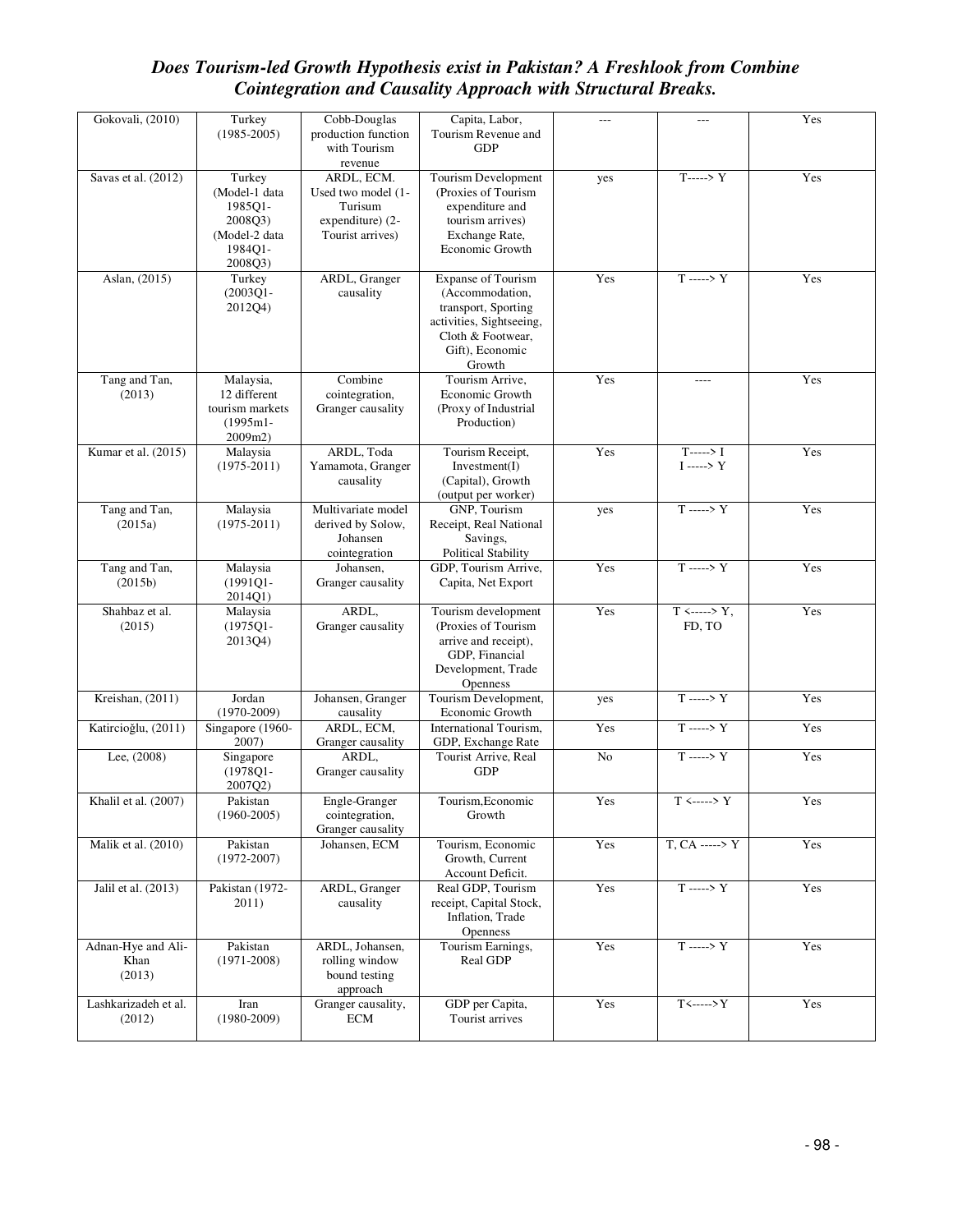| Gokovali, (2010)                     | Turkey<br>$(1985 - 2005)$                                                            | Cobb-Douglas<br>production function<br>with Tourism<br>revenue                      | Capita, Labor,<br>Tourism Revenue and<br><b>GDP</b>                                                                                        | --- | $---$                                   | Yes |
|--------------------------------------|--------------------------------------------------------------------------------------|-------------------------------------------------------------------------------------|--------------------------------------------------------------------------------------------------------------------------------------------|-----|-----------------------------------------|-----|
| Savas et al. (2012)                  | Turkey<br>(Model-1 data<br>1985Q1-<br>2008Q3)<br>(Model-2 data<br>1984Q1-<br>2008Q3) | ARDL, ECM.<br>Used two model (1-<br>Turisum<br>expenditure) (2-<br>Tourist arrives) | Tourism Development<br>(Proxies of Tourism<br>expenditure and<br>tourism arrives)<br>Exchange Rate,<br>Economic Growth                     | yes | $T$ -----> Y                            | Yes |
| Aslan, (2015)                        | Turkey<br>$(2003Q1 -$<br>2012Q4)                                                     | ARDL, Granger<br>causality                                                          | Expanse of Tourism<br>(Accommodation,<br>transport, Sporting<br>activities, Sightseeing,<br>Cloth & Footwear,<br>Gift), Economic<br>Growth | Yes | $T \longrightarrow Y$                   | Yes |
| Tang and Tan,<br>(2013)              | Malaysia,<br>12 different<br>tourism markets<br>$(1995m1 -$<br>2009m2)               | Combine<br>cointegration,<br>Granger causality                                      | Tourism Arrive,<br>Economic Growth<br>(Proxy of Industrial<br>Production)                                                                  | Yes | $- - - -$                               | Yes |
| Kumar et al. (2015)                  | Malaysia<br>$(1975 - 2011)$                                                          | ARDL, Toda<br>Yamamota, Granger<br>causality                                        | Tourism Receipt,<br>Investment(I)<br>(Capital), Growth<br>(output per worker)                                                              | Yes | $T$ -----> I<br>$I$ ---->Y              | Yes |
| Tang and Tan,<br>(2015a)             | Malaysia<br>$(1975 - 2011)$                                                          | Multivariate model<br>derived by Solow,<br>Johansen<br>cointegration                | GNP, Tourism<br>Receipt, Real National<br>Savings,<br><b>Political Stability</b>                                                           | yes | $T \longrightarrow Y$                   | Yes |
| Tang and Tan,<br>(2015b)             | Malaysia<br>$(1991Q1 -$<br>2014Q1)                                                   | Johansen,<br>Granger causality                                                      | GDP, Tourism Arrive,<br>Capita, Net Export                                                                                                 | Yes | $T \longrightarrow Y$                   | Yes |
| Shahbaz et al.<br>(2015)             | Malaysia<br>$(1975Q1 -$<br>2013Q4)                                                   | ARDL,<br>Granger causality                                                          | Tourism development<br>(Proxies of Tourism<br>arrive and receipt),<br>GDP, Financial<br>Development, Trade<br>Openness                     | Yes | $T \leftarrow \rightarrow Y,$<br>FD, TO | Yes |
| Kreishan, (2011)                     | Jordan<br>$(1970 - 2009)$                                                            | Johansen, Granger<br>causality                                                      | Tourism Development,<br>Economic Growth                                                                                                    | yes | $T \longrightarrow Y$                   | Yes |
| Katircioğlu, (2011)                  | Singapore (1960-<br>2007)                                                            | ARDL, ECM,<br>Granger causality                                                     | International Tourism,<br>GDP, Exchange Rate                                                                                               | Yes | $T \longrightarrow Y$                   | Yes |
| Lee, (2008)                          | Singapore<br>$(1978Q1 -$<br>2007Q2)                                                  | ARDL,<br>Granger causality                                                          | Tourist Arrive, Real<br><b>GDP</b>                                                                                                         | No  | $T \longrightarrow Y$                   | Yes |
| Khalil et al. (2007)                 | Pakistan<br>$(1960 - 2005)$                                                          | Engle-Granger<br>cointegration,<br>Granger causality                                | Tourism, Economic<br>Growth                                                                                                                | Yes | $T \leftarrow \rightarrow Y$            | Yes |
| Malik et al. (2010)                  | Pakistan<br>$(1972 - 2007)$                                                          | Johansen, ECM                                                                       | Tourism, Economic<br>Growth, Current<br>Account Deficit.                                                                                   | Yes | $T, CA$ -----> Y                        | Yes |
| Jalil et al. (2013)                  | Pakistan (1972-<br>2011)                                                             | ARDL, Granger<br>causality                                                          | Real GDP, Tourism<br>receipt, Capital Stock,<br>Inflation, Trade<br>Openness                                                               | Yes | $T \longrightarrow Y$                   | Yes |
| Adnan-Hye and Ali-<br>Khan<br>(2013) | Pakistan<br>$(1971 - 2008)$                                                          | ARDL, Johansen,<br>rolling window<br>bound testing<br>approach                      | Tourism Earnings,<br>Real GDP                                                                                                              | Yes | $T \longrightarrow Y$                   | Yes |
| Lashkarizadeh et al.<br>(2012)       | Iran<br>$(1980 - 2009)$                                                              | Granger causality,<br>ECM                                                           | GDP per Capita,<br>Tourist arrives                                                                                                         | Yes | $T$ <----->Y                            | Yes |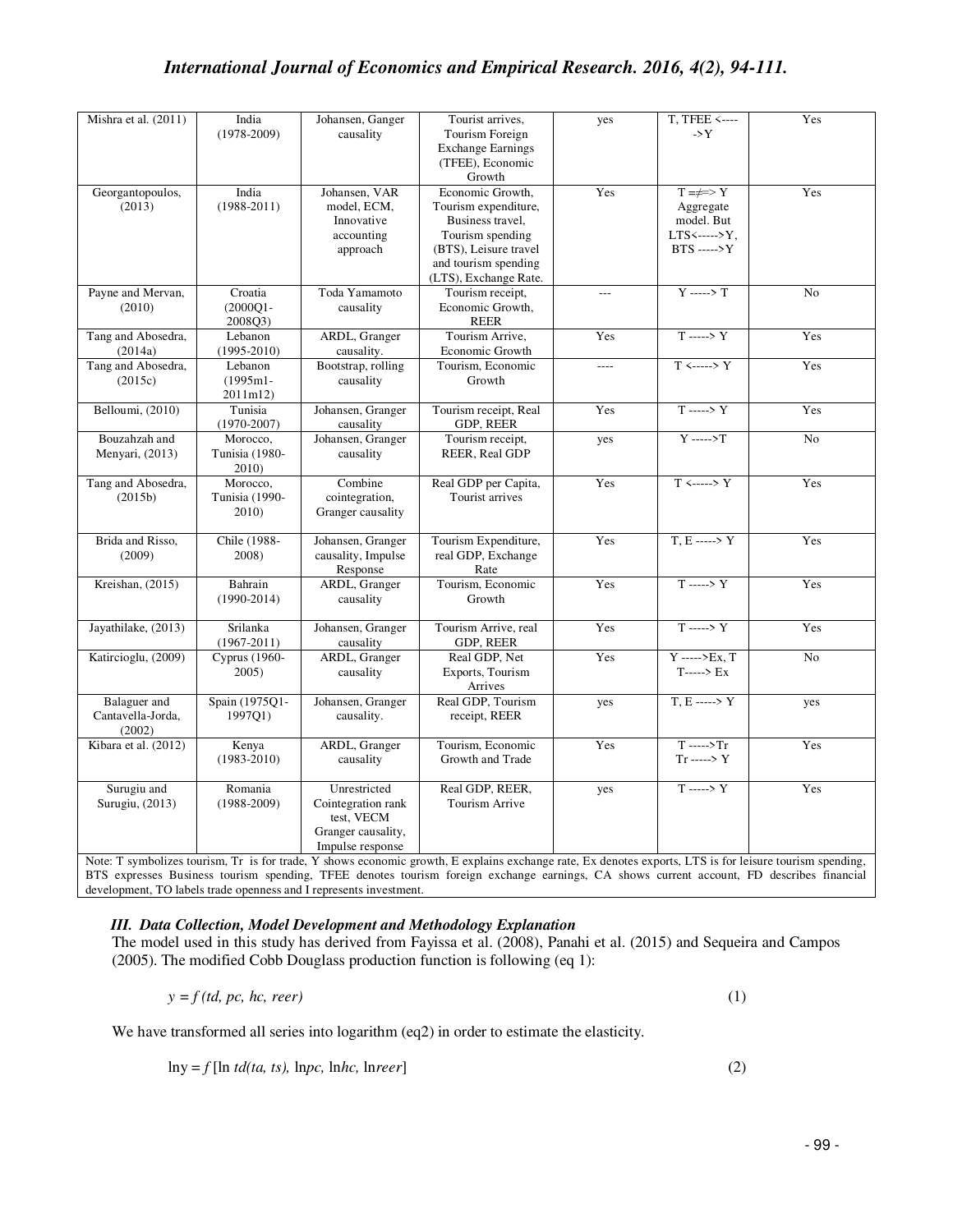| Mishra et al. $(2011)$                             | India<br>$(1978-2009)$              | Johansen, Ganger<br>causality                                                              | Tourist arrives,<br>Tourism Foreign<br><b>Exchange Earnings</b><br>(TFEE), Economic                                                                                  | yes   | T, TFEE <----<br>$\rightarrow$ Y                                                 | Yes            |
|----------------------------------------------------|-------------------------------------|--------------------------------------------------------------------------------------------|----------------------------------------------------------------------------------------------------------------------------------------------------------------------|-------|----------------------------------------------------------------------------------|----------------|
| Georgantopoulos,<br>(2013)                         | India<br>$(1988-2011)$              | Johansen, VAR<br>model, ECM,<br>Innovative<br>accounting<br>approach                       | Growth<br>Economic Growth.<br>Tourism expenditure,<br>Business travel,<br>Tourism spending<br>(BTS), Leisure travel<br>and tourism spending<br>(LTS), Exchange Rate. | Yes   | $T = \neq > Y$<br>Aggregate<br>model. But<br>$LTS \leftarrow Y$<br>$BTS$ ----->Y | Yes            |
| Payne and Mervan,<br>(2010)                        | Croatia<br>$(2000Q1 -$<br>2008O3)   | Toda Yamamoto<br>causality                                                                 | Tourism receipt,<br>Economic Growth,<br><b>REER</b>                                                                                                                  | $---$ | $Y \longrightarrow Y$                                                            | N <sub>o</sub> |
| Tang and Abosedra,<br>(2014a)                      | Lebanon<br>$(1995 - 2010)$          | ARDL, Granger<br>causality.                                                                | Tourism Arrive,<br>Economic Growth                                                                                                                                   | Yes   | $T \longrightarrow Y$                                                            | Yes            |
| Tang and Abosedra,<br>(2015c)                      | Lebanon<br>$(1995m1 -$<br>2011m12)  | Bootstrap, rolling<br>causality                                                            | Tourism, Economic<br>Growth                                                                                                                                          | $---$ | $T \leftarrow \rightarrow Y$                                                     | Yes            |
| Belloumi, (2010)                                   | Tunisia<br>$(1970 - 2007)$          | Johansen, Granger<br>causality                                                             | Tourism receipt, Real<br>GDP, REER                                                                                                                                   | Yes   | $T \longrightarrow Y$                                                            | Yes            |
| Bouzahzah and<br>Menyari, (2013)                   | Morocco,<br>Tunisia (1980-<br>2010) | Johansen, Granger<br>causality                                                             | Tourism receipt,<br>REER, Real GDP                                                                                                                                   | yes   | $Y$ ----->T                                                                      | No             |
| Tang and Abosedra,<br>(2015b)                      | Morocco,<br>Tunisia (1990-<br>2010) | Combine<br>cointegration,<br>Granger causality                                             | Real GDP per Capita,<br>Tourist arrives                                                                                                                              | Yes   | $T \leftarrow \rightarrow Y$                                                     | Yes            |
| Brida and Risso,<br>(2009)                         | Chile (1988-<br>2008)               | Johansen, Granger<br>causality, Impulse<br>Response                                        | Tourism Expenditure,<br>real GDP, Exchange<br>Rate                                                                                                                   | Yes   | $T.E$ -----> Y                                                                   | Yes            |
| Kreishan, (2015)                                   | Bahrain<br>$(1990-2014)$            | ARDL, Granger<br>causality                                                                 | Tourism, Economic<br>Growth                                                                                                                                          | Yes   | $T \longrightarrow Y$                                                            | Yes            |
| Jayathilake, (2013)                                | Srilanka<br>$(1967 - 2011)$         | Johansen, Granger<br>causality                                                             | Tourism Arrive, real<br>GDP, REER                                                                                                                                    | Yes   | $T \longrightarrow Y$                                                            | Yes            |
| Katircioglu, (2009)                                | Cyprus (1960-<br>2005)              | ARDL, Granger<br>causality                                                                 | Real GDP, Net<br>Exports, Tourism<br>Arrives                                                                                                                         | Yes   | $Y$ ----->Ex, T<br>$T$ -----> $Ex$                                               | No             |
| <b>Balaguer</b> and<br>Cantavella-Jorda,<br>(2002) | Spain (1975Q1-<br>1997Q1)           | Johansen, Granger<br>causality.                                                            | Real GDP, Tourism<br>receipt, REER                                                                                                                                   | yes   | $T, E$ -----> Y                                                                  | yes            |
| Kibara et al. (2012)                               | Kenya<br>$(1983 - 2010)$            | ARDL, Granger<br>causality                                                                 | Tourism, Economic<br>Growth and Trade                                                                                                                                | Yes   | $\overline{T}$ ----->Tr<br>$Tr \longrightarrow Y$                                | Yes            |
| Surugiu and<br>Surugiu, (2013)                     | Romania<br>$(1988-2009)$            | Unrestricted<br>Cointegration rank<br>test, VECM<br>Granger causality,<br>Impulse response | Real GDP, REER,<br>Tourism Arrive                                                                                                                                    | yes   | $T \longrightarrow Y$                                                            | Yes            |

Note: T symbolizes tourism, Tr is for trade, Y shows economic growth, E explains exchange rate, Ex denotes exports, LTS is for leisure tourism spending, BTS expresses Business tourism spending, TFEE denotes tourism foreign exchange earnings, CA shows current account, FD describes financial development, TO labels trade openness and I represents investment.

### *III. Data Collection, Model Development and Methodology Explanation*

The model used in this study has derived from Fayissa et al. (2008), Panahi et al. (2015) and Sequeira and Campos (2005). The modified Cobb Douglass production function is following (eq 1):

$$
y = f(td, pc, hc, reer)
$$
 (1)

We have transformed all series into logarithm (eq2) in order to estimate the elasticity.

 $\ln y = f$  [ln *td(ta, ts),*  $\ln pc$ ,  $\ln hc$ ,  $\ln r$  [2]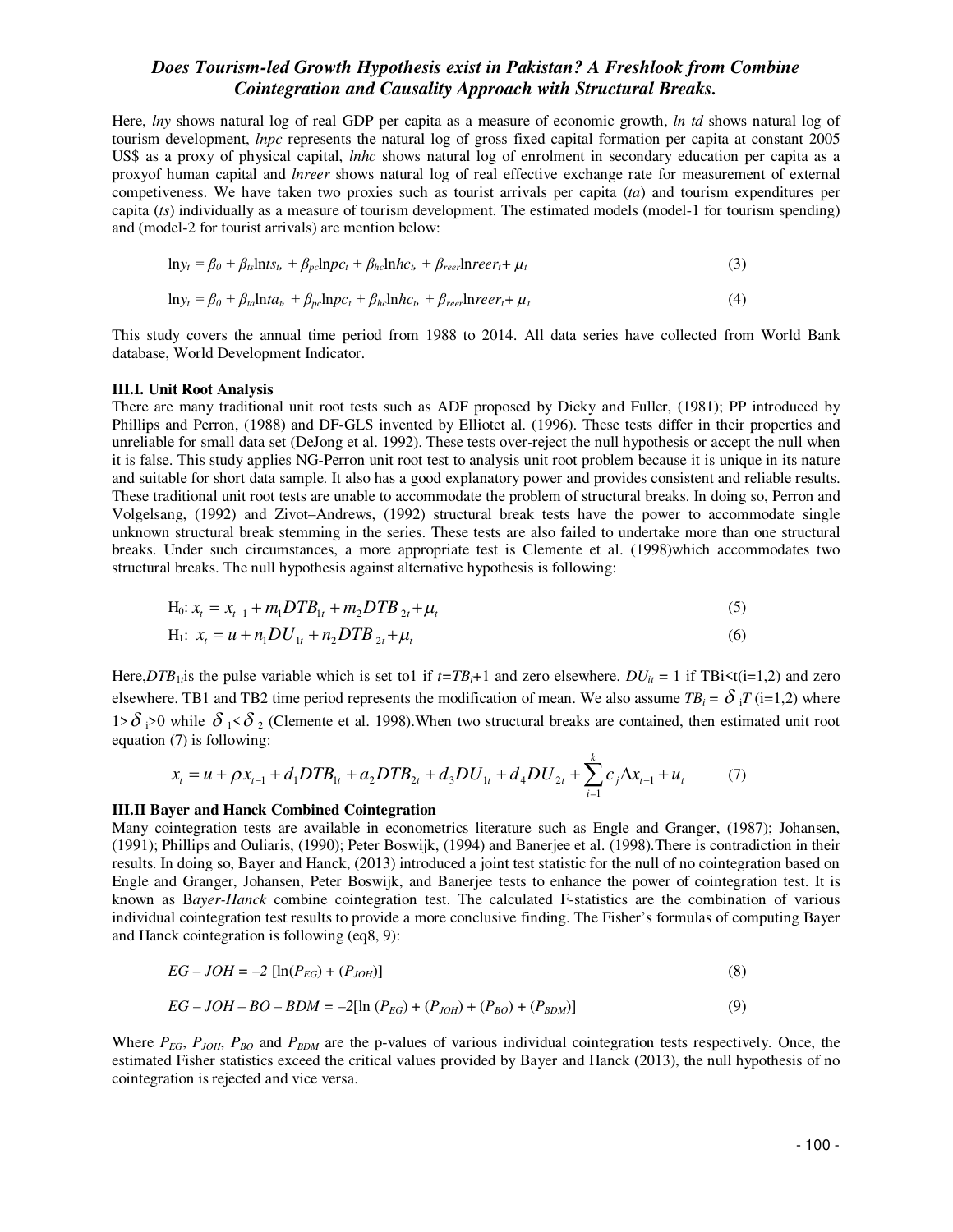Here, *lny* shows natural log of real GDP per capita as a measure of economic growth, *ln td* shows natural log of tourism development, *lnpc* represents the natural log of gross fixed capital formation per capita at constant 2005 US\$ as a proxy of physical capital, *lnhc* shows natural log of enrolment in secondary education per capita as a proxyof human capital and *lnreer* shows natural log of real effective exchange rate for measurement of external competiveness. We have taken two proxies such as tourist arrivals per capita (*ta*) and tourism expenditures per capita (*ts*) individually as a measure of tourism development. The estimated models (model-1 for tourism spending) and (model-2 for tourist arrivals) are mention below:

$$
\ln y_t = \beta_0 + \beta_{ts} \ln ts_b + \beta_{pc} \ln pc_t + \beta_{hc} \ln hc_b + \beta_{reer} \ln reer_t + \mu_t
$$
\n(3)

$$
\ln y_t = \beta_0 + \beta_{ta} \ln t a_b + \beta_{pc} \ln p c_t + \beta_{hc} \ln h c_b + \beta_{reer} \ln reer_t + \mu_t
$$
\n(4)

This study covers the annual time period from 1988 to 2014. All data series have collected from World Bank database, World Development Indicator.

#### **III.I. Unit Root Analysis**

There are many traditional unit root tests such as ADF proposed by Dicky and Fuller, (1981); PP introduced by Phillips and Perron, (1988) and DF-GLS invented by Elliotet al. (1996). These tests differ in their properties and unreliable for small data set (DeJong et al. 1992). These tests over-reject the null hypothesis or accept the null when it is false. This study applies NG-Perron unit root test to analysis unit root problem because it is unique in its nature and suitable for short data sample. It also has a good explanatory power and provides consistent and reliable results. These traditional unit root tests are unable to accommodate the problem of structural breaks. In doing so, Perron and Volgelsang, (1992) and Zivot–Andrews, (1992) structural break tests have the power to accommodate single unknown structural break stemming in the series. These tests are also failed to undertake more than one structural breaks. Under such circumstances, a more appropriate test is Clemente et al. (1998)which accommodates two structural breaks. The null hypothesis against alternative hypothesis is following:

$$
H_0: x_t = x_{t-1} + m_1 D T B_{1t} + m_2 D T B_{2t} + \mu_t
$$
\n<sup>(5)</sup>

$$
H_1: x_t = u + n_1 D U_{1t} + n_2 D T B_{2t} + \mu_t
$$
\n(6)

Here, $DTB_1$  *is* the pulse variable which is set to1 if  $t = TB_t + 1$  and zero elsewhere.  $DU_i = 1$  if TBi $\le t(i=1,2)$  and zero elsewhere. TB1 and TB2 time period represents the modification of mean. We also assume  $TB_i = \delta_i T (i=1,2)$  where 1>  $\delta$  i>0 while  $\delta$  i <  $\delta$  2 (Clemente et al. 1998). When two structural breaks are contained, then estimated unit root equation (7) is following: *k*

$$
x_{t} = u + \rho x_{t-1} + d_1 D T B_{1t} + a_2 D T B_{2t} + d_3 D U_{1t} + d_4 D U_{2t} + \sum_{i=1}^{k} c_j \Delta x_{t-1} + u_t \tag{7}
$$

#### **III.II Bayer and Hanck Combined Cointegration**

Many cointegration tests are available in econometrics literature such as Engle and Granger, (1987); Johansen, (1991); Phillips and Ouliaris, (1990); Peter Boswijk, (1994) and Banerjee et al. (1998).There is contradiction in their results. In doing so, Bayer and Hanck, (2013) introduced a joint test statistic for the null of no cointegration based on Engle and Granger, Johansen, Peter Boswijk, and Banerjee tests to enhance the power of cointegration test. It is known as B*ayer-Hanck* combine cointegration test. The calculated F-statistics are the combination of various individual cointegration test results to provide a more conclusive finding. The Fisher's formulas of computing Bayer and Hanck cointegration is following (eq8, 9):

$$
EG - JOH = -2 [\ln(P_{EG}) + (P_{JOH})]
$$
\n(8)

$$
EG - JOH - BO - BDM = -2[\ln(P_{EG}) + (P_{JOH}) + (P_{BO}) + (P_{BDM})]
$$
\n(9)

Where  $P_{EG}$ ,  $P_{JOH}$ ,  $P_{BO}$  and  $P_{BDM}$  are the p-values of various individual cointegration tests respectively. Once, the estimated Fisher statistics exceed the critical values provided by Bayer and Hanck (2013), the null hypothesis of no cointegration is rejected and vice versa.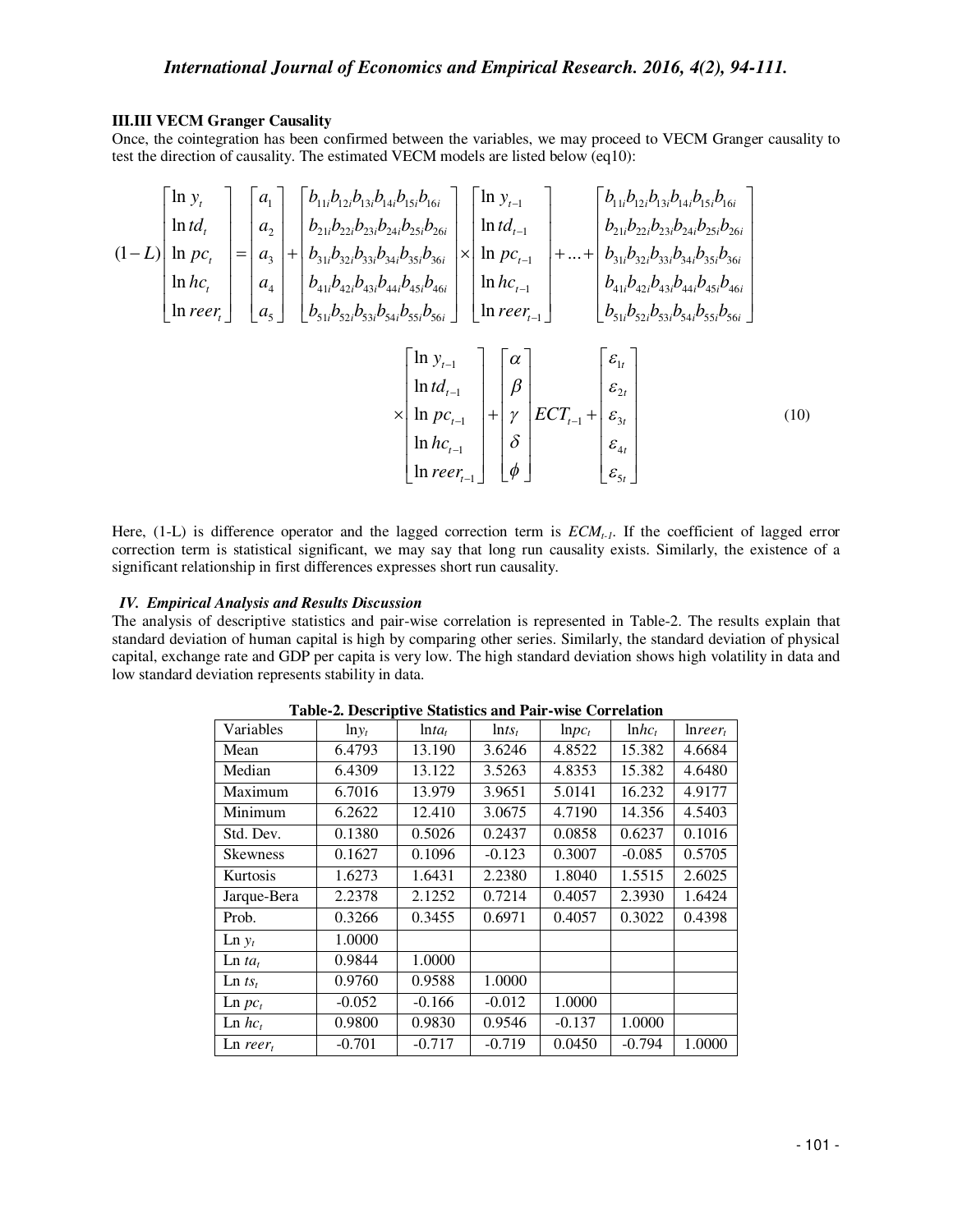#### **III.III VECM Granger Causality**

Once, the cointegration has been confirmed between the variables, we may proceed to VECM Granger causality to test the direction of causality. The estimated VECM models are listed below (eq10):

$$
(1-L)\begin{bmatrix} \ln y_t \\ \ln t d_t \\ \ln p c_t \\ \ln h c_t \\ \ln r e e r_t \end{bmatrix} = \begin{bmatrix} a_1 \\ a_2 \\ a_3 \\ a_4 \\ \ln t \end{bmatrix} + \begin{bmatrix} b_{11i}b_{12i}b_{13i}b_{14i}b_{15i}b_{16i} \\ b_{21i}b_{22i}b_{23i}b_{24i}b_{25i}b_{26i} \\ b_{31i}b_{32i}b_{33i}b_{34i}b_{35i}b_{36i} \\ b_{41i}b_{42i}b_{43i}b_{44i}b_{45i}b_{46i} \\ \ln r e e r_t \end{bmatrix} \times \begin{bmatrix} \ln y_{t-1} \\ \ln t d_{t-1} \\ \ln t c_{t-1} \\ \ln t c_{t-1} \\ \ln t d_{t-1} \\ \ln t c_{t-1} \\ \ln r e r_{t-1} \end{bmatrix} + \begin{bmatrix} b_{11i}b_{12i}b_{13i}b_{14i}b_{15i}b_{16i} \\ b_{21i}b_{22i}b_{23i}b_{23i}b_{23i}b_{25i}b_{26i} \\ \ln h c_{t-1} \\ \ln t d_{t-1} \\ \ln h c_{t-1} \\ \ln h c_{t-1} \end{bmatrix} + ... + \begin{bmatrix} b_{11i}b_{12i}b_{13i}b_{14i}b_{15i}b_{16i} \\ b_{21i}b_{22i}b_{23i}b_{23i}b_{24i}b_{25i}b_{26i} \\ b_{31i}b_{32i}b_{33i}b_{34i}b_{35i}b_{36i} \\ \ln h c_{t-1} \\ \ln h c_{t-1} \\ \frac{1}{\delta} \end{bmatrix} + \begin{bmatrix} \ln y_{t-1} \\ \ln t d_{t-1} \\ \ln t d_{t-1} \\ \ln t c_{t-1} \\ \frac{1}{\delta} \end{bmatrix} + \begin{bmatrix} \ln y_{t-1} \\ \ln t d_{t-1} \\ \ln t d_{t-1} \\ \frac{1}{\delta} \end{bmatrix} + \begin{bmatrix} \ln y_{t-1} \\ \ln t d_{t-1} \\ \ln t d
$$

Here, (1-L) is difference operator and the lagged correction term is *ECMt-1*. If the coefficient of lagged error correction term is statistical significant, we may say that long run causality exists. Similarly, the existence of a significant relationship in first differences expresses short run causality.

#### *IV. Empirical Analysis and Results Discussion*

The analysis of descriptive statistics and pair-wise correlation is represented in Table-2. The results explain that standard deviation of human capital is high by comparing other series. Similarly, the standard deviation of physical capital, exchange rate and GDP per capita is very low. The high standard deviation shows high volatility in data and low standard deviation represents stability in data.

| Variables                  | $ln v_t$ | $ln t a_t$ | $\ln ts_t$ | $lnpc_t$ | $lnhc_t$ | Inrer <sub>r</sub> |
|----------------------------|----------|------------|------------|----------|----------|--------------------|
| Mean                       | 6.4793   | 13.190     | 3.6246     | 4.8522   | 15.382   | 4.6684             |
| Median                     | 6.4309   | 13.122     | 3.5263     | 4.8353   | 15.382   | 4.6480             |
| Maximum                    | 6.7016   | 13.979     | 3.9651     | 5.0141   | 16.232   | 4.9177             |
| Minimum                    | 6.2622   | 12.410     | 3.0675     | 4.7190   | 14.356   | 4.5403             |
| Std. Dev.                  | 0.1380   | 0.5026     | 0.2437     | 0.0858   | 0.6237   | 0.1016             |
| <b>Skewness</b>            | 0.1627   | 0.1096     | $-0.123$   | 0.3007   | $-0.085$ | 0.5705             |
| Kurtosis                   | 1.6273   | 1.6431     | 2.2380     | 1.8040   | 1.5515   | 2.6025             |
| Jarque-Bera                | 2.2378   | 2.1252     | 0.7214     | 0.4057   | 2.3930   | 1.6424             |
| Prob.                      | 0.3266   | 0.3455     | 0.6971     | 0.4057   | 0.3022   | 0.4398             |
| $\text{Ln } y_t$           | 1.0000   |            |            |          |          |                    |
| $\text{Ln} t a_t$          | 0.9844   | 1.0000     |            |          |          |                    |
| $\text{Ln } ts_{t}$        | 0.9760   | 0.9588     | 1.0000     |          |          |                    |
| $\text{Ln } pc_t$          | $-0.052$ | $-0.166$   | $-0.012$   | 1.0000   |          |                    |
| $\ln hc_t$                 | 0.9800   | 0.9830     | 0.9546     | $-0.137$ | 1.0000   |                    |
| $\text{Ln } \text{reer}_t$ | $-0.701$ | $-0.717$   | $-0.719$   | 0.0450   | $-0.794$ | 1.0000             |

**Table-2. Descriptive Statistics and Pair-wise Correlation**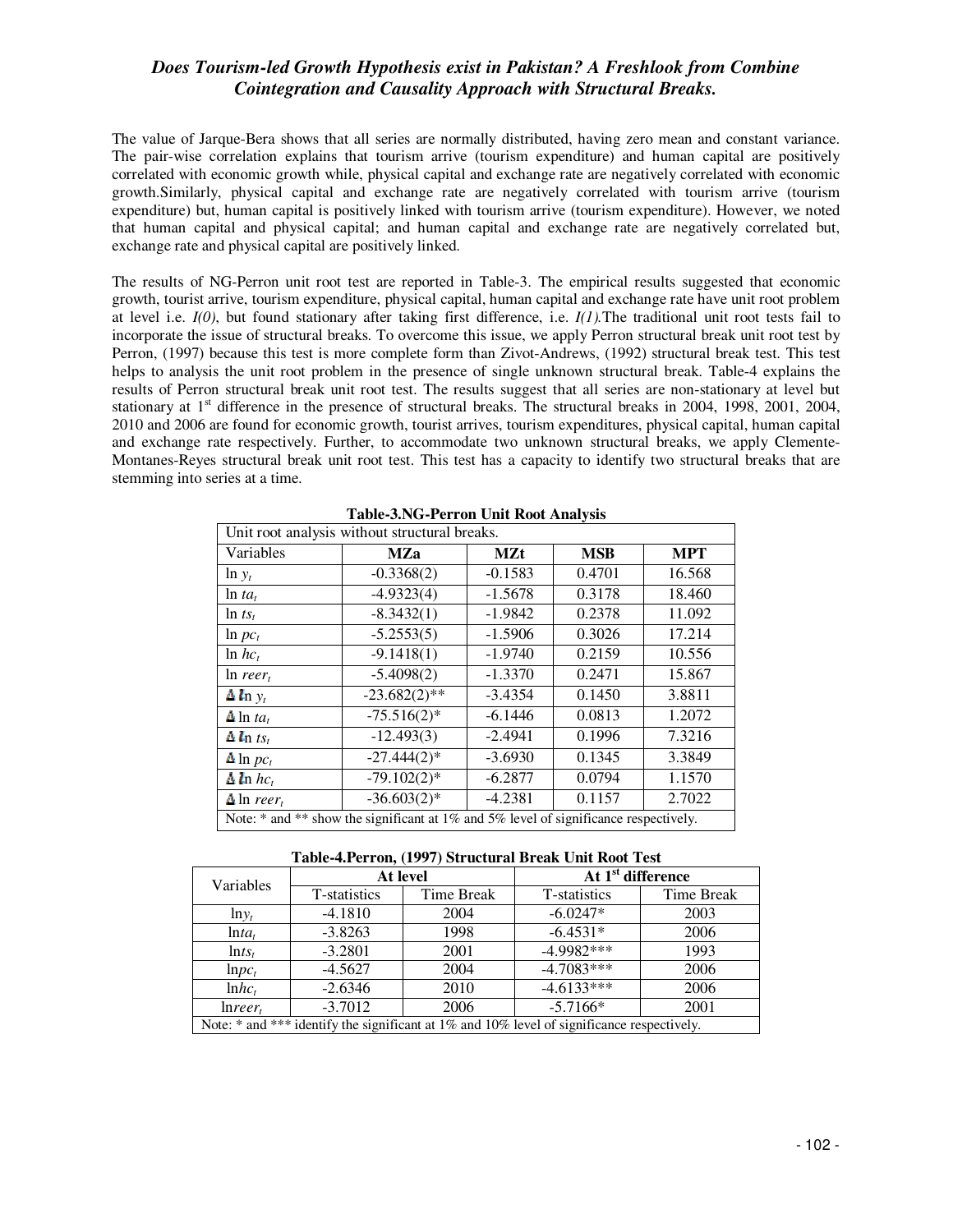The value of Jarque-Bera shows that all series are normally distributed, having zero mean and constant variance. The pair-wise correlation explains that tourism arrive (tourism expenditure) and human capital are positively correlated with economic growth while, physical capital and exchange rate are negatively correlated with economic growth.Similarly, physical capital and exchange rate are negatively correlated with tourism arrive (tourism expenditure) but, human capital is positively linked with tourism arrive (tourism expenditure). However, we noted that human capital and physical capital; and human capital and exchange rate are negatively correlated but, exchange rate and physical capital are positively linked.

The results of NG-Perron unit root test are reported in Table-3. The empirical results suggested that economic growth, tourist arrive, tourism expenditure, physical capital, human capital and exchange rate have unit root problem at level i.e. *I(0)*, but found stationary after taking first difference, i.e. *I(1).*The traditional unit root tests fail to incorporate the issue of structural breaks. To overcome this issue, we apply Perron structural break unit root test by Perron, (1997) because this test is more complete form than Zivot-Andrews, (1992) structural break test. This test helps to analysis the unit root problem in the presence of single unknown structural break. Table-4 explains the results of Perron structural break unit root test. The results suggest that all series are non-stationary at level but stationary at  $1<sup>st</sup>$  difference in the presence of structural breaks. The structural breaks in 2004, 1998, 2001, 2004, 2010 and 2006 are found for economic growth, tourist arrives, tourism expenditures, physical capital, human capital and exchange rate respectively. Further, to accommodate two unknown structural breaks, we apply Clemente-Montanes-Reyes structural break unit root test. This test has a capacity to identify two structural breaks that are stemming into series at a time.

| Unit root analysis without structural breaks.                                            |                 |            |            |            |  |  |
|------------------------------------------------------------------------------------------|-----------------|------------|------------|------------|--|--|
| Variables                                                                                | <b>MZa</b>      | <b>MZt</b> | <b>MSB</b> | <b>MPT</b> |  |  |
| $\ln y_t$                                                                                | $-0.3368(2)$    | $-0.1583$  | 0.4701     | 16.568     |  |  |
| $\ln ta_t$                                                                               | $-4.9323(4)$    | $-1.5678$  | 0.3178     | 18.460     |  |  |
| $\ln ts_t$                                                                               | $-8.3432(1)$    | $-1.9842$  | 0.2378     | 11.092     |  |  |
| $\ln pc_t$                                                                               | $-5.2553(5)$    | $-1.5906$  | 0.3026     | 17.214     |  |  |
| $\ln hc_t$                                                                               | $-9.1418(1)$    | $-1.9740$  | 0.2159     | 10.556     |  |  |
| $ln$ reer,                                                                               | $-5.4098(2)$    | $-1.3370$  | 0.2471     | 15.867     |  |  |
| $\Delta l_{\rm n} y_t$                                                                   | $-23.682(2)$ ** | $-3.4354$  | 0.1450     | 3.8811     |  |  |
| $\Delta$ ln ta <sub>t</sub>                                                              | $-75.516(2)$ *  | $-6.1446$  | 0.0813     | 1.2072     |  |  |
| $\Delta$ ln ts <sub>t</sub>                                                              | $-12.493(3)$    | $-2.4941$  | 0.1996     | 7.3216     |  |  |
| $\Delta$ ln $pc_t$                                                                       | $-27.444(2)$ *  | $-3.6930$  | 0.1345     | 3.3849     |  |  |
| $\Delta$ ln $hc_t$                                                                       | $-79.102(2)$ *  | $-6.2877$  | 0.0794     | 1.1570     |  |  |
| $\Delta$ ln reer                                                                         | $-36.603(2)$ *  | $-4.2381$  | 0.1157     | 2.7022     |  |  |
| Note: $*$ and $**$ show the significant at 1% and 5% level of significance respectively. |                 |            |            |            |  |  |

**Table-3.NG-Perron Unit Root Analysis** 

**Table-4.Perron, (1997) Structural Break Unit Root Test** 

| Variables                                                                                     |              | At level   | At 1 <sup>st</sup> difference |            |  |
|-----------------------------------------------------------------------------------------------|--------------|------------|-------------------------------|------------|--|
|                                                                                               | T-statistics | Time Break | T-statistics                  | Time Break |  |
| $ln y_t$                                                                                      | $-4.1810$    | 2004       | $-6.0247*$                    | 2003       |  |
| $ln t a_t$                                                                                    | $-3.8263$    | 1998       | $-6.4531*$                    | 2006       |  |
| $\ln ts_t$                                                                                    | $-3.2801$    | 2001       | $-4.9982***$                  | 1993       |  |
| $lnpc_{t}$                                                                                    | $-4.5627$    | 2004       | $-4.7083***$                  | 2006       |  |
| $lnhc_t$                                                                                      | $-2.6346$    | 2010       | $-4.6133***$                  | 2006       |  |
| Inrer <sub>t</sub>                                                                            | $-3.7012$    | 2006       | $-5.7166*$                    | 2001       |  |
| Note: $*$ and $**$ identify the significant at 1% and 10% level of significance respectively. |              |            |                               |            |  |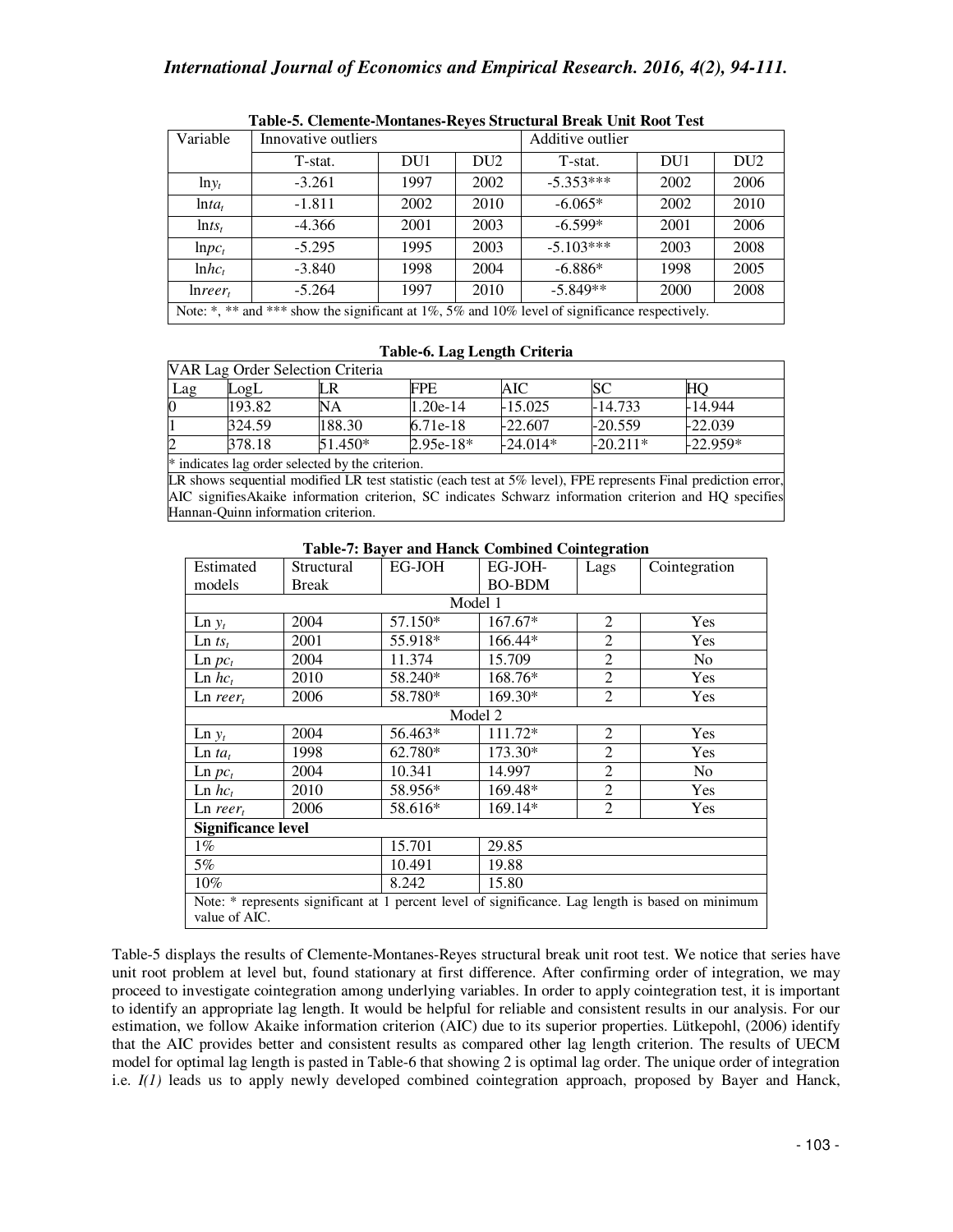|                    | Tubic of Citanenic monumes incres suruculum Divan Chic Hooc Test                               |      |                 |                  |      |                 |
|--------------------|------------------------------------------------------------------------------------------------|------|-----------------|------------------|------|-----------------|
| Variable           | Innovative outliers                                                                            |      |                 | Additive outlier |      |                 |
|                    | T-stat.                                                                                        | DU1  | DU <sub>2</sub> | T-stat.          | DU1  | DU <sub>2</sub> |
| $lny_t$            | $-3.261$                                                                                       | 1997 | 2002            | $-5.353***$      | 2002 | 2006            |
| $ln ta_t$          | $-1.811$                                                                                       | 2002 | 2010            | $-6.065*$        | 2002 | 2010            |
| $\ln ts_t$         | $-4.366$                                                                                       | 2001 | 2003            | $-6.599*$        | 2001 | 2006            |
| $lnpc_t$           | $-5.295$                                                                                       | 1995 | 2003            | $-5.103***$      | 2003 | 2008            |
| $lnhc_t$           | $-3.840$                                                                                       | 1998 | 2004            | $-6.886*$        | 1998 | 2005            |
| Inrer <sub>t</sub> | $-5.264$                                                                                       | 1997 | 2010            | $-5.849**$       | 2000 | 2008            |
|                    | Note: *, ** and *** show the significant at 1%, 5% and 10% level of significance respectively. |      |                 |                  |      |                 |

### **Table-5. Clemente-Montanes-Reyes Structural Break Unit Root Test**

#### **Table-6. Lag Length Criteria**

| VAR Lag Order Selection Criteria                 |        |           |             |            |            |            |
|--------------------------------------------------|--------|-----------|-------------|------------|------------|------------|
| Lag                                              | LogL   | LR        | FPE         | AIC        | SС         | HO         |
|                                                  | 193.82 | NA        | $1.20e-14$  | $-15.025$  | $-14.733$  | $-14.944$  |
|                                                  | 324.59 | 188.30    | 6.71e-18    | $-22.607$  | $-20.559$  | $-22.039$  |
|                                                  | 378.18 | $51.450*$ | $2.95e-18*$ | $-24.014*$ | $-20.211*$ | $-22.959*$ |
| * indicates lag order selected by the criterion. |        |           |             |            |            |            |

LR shows sequential modified LR test statistic (each test at 5% level), FPE represents Final prediction error, AIC signifiesAkaike information criterion, SC indicates Schwarz information criterion and HQ specifies Hannan-Quinn information criterion.

| Estimated                                                                                                          | Structural | EG-JOH  | EG-JOH-       | Lags           | Cointegration  |  |  |
|--------------------------------------------------------------------------------------------------------------------|------------|---------|---------------|----------------|----------------|--|--|
| models                                                                                                             | Break      |         | <b>BO-BDM</b> |                |                |  |  |
| Model 1                                                                                                            |            |         |               |                |                |  |  |
| $\text{Ln } y_t$                                                                                                   | 2004       | 57.150* | 167.67*       | $\overline{2}$ | Yes            |  |  |
| $\text{Ln} \, t s_t$                                                                                               | 2001       | 55.918* | 166.44*       | $\overline{2}$ | Yes            |  |  |
| $\text{Ln } pc_t$                                                                                                  | 2004       | 11.374  | 15.709        | $\overline{2}$ | N <sub>o</sub> |  |  |
| $\text{Ln}$ $hc_t$                                                                                                 | 2010       | 58.240* | 168.76*       | $\overline{2}$ | Yes            |  |  |
| $\text{Ln } \text{reer}_t$                                                                                         | 2006       | 58.780* | 169.30*       | $\overline{2}$ | Yes            |  |  |
| Model 2                                                                                                            |            |         |               |                |                |  |  |
| $\text{Ln } y_t$                                                                                                   | 2004       | 56.463* | 111.72*       | 2              | <b>Yes</b>     |  |  |
| $\text{Ln} ta_t$                                                                                                   | 1998       | 62.780* | 173.30*       | $\overline{2}$ | Yes            |  |  |
| $\text{Ln } pc_t$                                                                                                  | 2004       | 10.341  | 14.997        | $\overline{2}$ | N <sub>0</sub> |  |  |
| $\text{Ln}$ $\mathit{hc}$ ,                                                                                        | 2010       | 58.956* | 169.48*       | $\overline{2}$ | <b>Yes</b>     |  |  |
| $\text{Ln } \text{reer}_t$                                                                                         | 2006       | 58.616* | 169.14*       | $\overline{2}$ | Yes            |  |  |
| <b>Significance level</b>                                                                                          |            |         |               |                |                |  |  |
| $1\%$                                                                                                              |            | 15.701  | 29.85         |                |                |  |  |
| 5%                                                                                                                 |            | 10.491  | 19.88         |                |                |  |  |
| $10\%$<br>8.242<br>15.80                                                                                           |            |         |               |                |                |  |  |
| Note: * represents significant at 1 percent level of significance. Lag length is based on minimum<br>value of AIC. |            |         |               |                |                |  |  |

#### **Table-7: Bayer and Hanck Combined Cointegration**

Table-5 displays the results of Clemente-Montanes-Reyes structural break unit root test. We notice that series have unit root problem at level but, found stationary at first difference. After confirming order of integration, we may proceed to investigate cointegration among underlying variables. In order to apply cointegration test, it is important to identify an appropriate lag length. It would be helpful for reliable and consistent results in our analysis. For our estimation, we follow Akaike information criterion (AIC) due to its superior properties. Lütkepohl, (2006) identify that the AIC provides better and consistent results as compared other lag length criterion. The results of UECM model for optimal lag length is pasted in Table-6 that showing 2 is optimal lag order. The unique order of integration i.e. *I(1)* leads us to apply newly developed combined cointegration approach, proposed by Bayer and Hanck,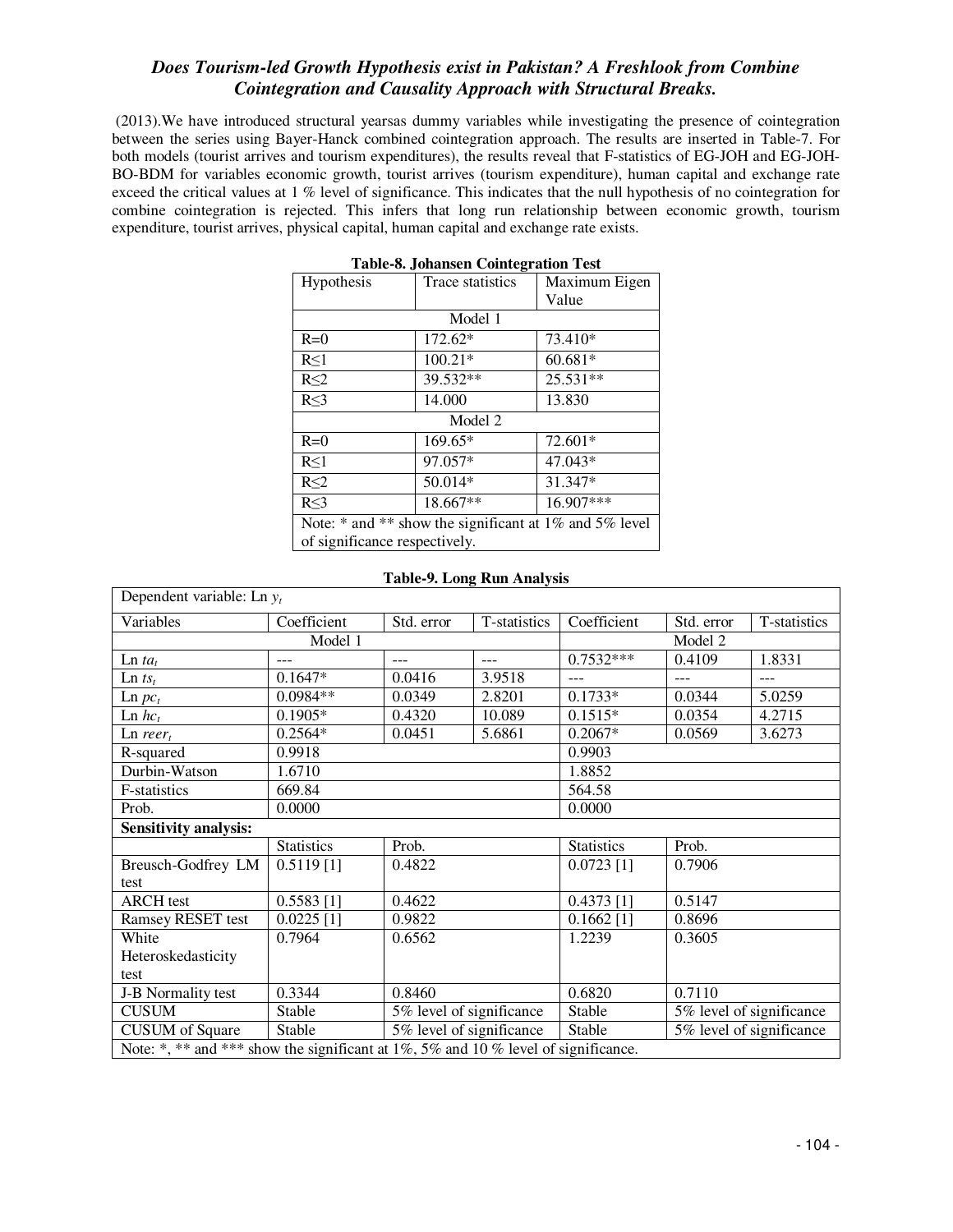(2013).We have introduced structural yearsas dummy variables while investigating the presence of cointegration between the series using Bayer-Hanck combined cointegration approach. The results are inserted in Table-7. For both models (tourist arrives and tourism expenditures), the results reveal that F-statistics of EG-JOH and EG-JOH-BO-BDM for variables economic growth, tourist arrives (tourism expenditure), human capital and exchange rate exceed the critical values at 1 % level of significance. This indicates that the null hypothesis of no cointegration for combine cointegration is rejected. This infers that long run relationship between economic growth, tourism expenditure, tourist arrives, physical capital, human capital and exchange rate exists.

| Table-o. Jonalisell Connegration Test                      |                  |               |  |  |  |  |
|------------------------------------------------------------|------------------|---------------|--|--|--|--|
| Hypothesis                                                 | Trace statistics | Maximum Eigen |  |  |  |  |
|                                                            |                  | Value         |  |  |  |  |
| Model 1                                                    |                  |               |  |  |  |  |
| $R=0$                                                      | $172.62*$        | 73.410*       |  |  |  |  |
| $R \leq 1$                                                 | $100.21*$        | 60.681*       |  |  |  |  |
| $R \leq 2$                                                 | 39.532**         | 25.531**      |  |  |  |  |
| $R \leq 3$                                                 | 14.000           | 13.830        |  |  |  |  |
|                                                            | Model 2          |               |  |  |  |  |
| $R=0$                                                      | 169.65*          | 72.601*       |  |  |  |  |
| R<1                                                        | 97.057*          | 47.043*       |  |  |  |  |
| $R \leq 2$                                                 | 50.014*          | 31.347*       |  |  |  |  |
| $R \leq 3$                                                 | 18.667**         | 16.907***     |  |  |  |  |
| Note: $*$ and $**$ show the significant at 1% and 5% level |                  |               |  |  |  |  |
| of significance respectively.                              |                  |               |  |  |  |  |

| <b>Table-8. Johansen Cointegration Test</b> |  |  |
|---------------------------------------------|--|--|
|---------------------------------------------|--|--|

| Dependent variable: Ln $y_t$                                                      |                   |                            |                          |                   |                          |              |  |  |  |
|-----------------------------------------------------------------------------------|-------------------|----------------------------|--------------------------|-------------------|--------------------------|--------------|--|--|--|
| Variables                                                                         | Coefficient       | T-statistics<br>Std. error |                          | Coefficient       | Std. error               | T-statistics |  |  |  |
|                                                                                   | Model 2           |                            |                          |                   |                          |              |  |  |  |
| $\text{Ln} ta_t$                                                                  | ---               | $---$<br>$---$             |                          | $0.7532***$       | 0.4109                   | 1.8331       |  |  |  |
| $\text{Ln} \, t s_t$                                                              | $0.1647*$         | 0.0416                     | 3.9518                   | $---$             | ---                      | ---          |  |  |  |
| $\ln pc_t$                                                                        | $0.0984**$        | 0.0349                     | 2.8201                   | $0.1733*$         | 0.0344                   | 5.0259       |  |  |  |
| $\text{Ln}$ $\mathit{hc}_t$                                                       | $0.1905*$         | 0.4320                     | 10.089                   | $0.1515*$         | 0.0354                   | 4.2715       |  |  |  |
| $\text{Ln } \text{reer}_t$                                                        | $0.2564*$         | 0.0451                     | 5.6861                   | $0.2067*$         | 0.0569                   | 3.6273       |  |  |  |
| R-squared                                                                         | 0.9918            |                            |                          | 0.9903            |                          |              |  |  |  |
| Durbin-Watson                                                                     | 1.6710            |                            |                          | 1.8852            |                          |              |  |  |  |
| F-statistics                                                                      | 669.84            |                            |                          | 564.58            |                          |              |  |  |  |
| Prob.                                                                             | 0.0000            |                            |                          | 0.0000            |                          |              |  |  |  |
| <b>Sensitivity analysis:</b>                                                      |                   |                            |                          |                   |                          |              |  |  |  |
|                                                                                   | <b>Statistics</b> | Prob.                      |                          | <b>Statistics</b> | Prob.                    |              |  |  |  |
| Breusch-Godfrey LM                                                                | $0.5119$ [1]      | 0.4822                     |                          | $0.0723$ [1]      | 0.7906                   |              |  |  |  |
| test                                                                              |                   |                            |                          |                   |                          |              |  |  |  |
| <b>ARCH</b> test                                                                  | $0.5583$ [1]      | 0.4622                     |                          | $0.4373$ [1]      | 0.5147                   |              |  |  |  |
| Ramsey RESET test                                                                 | $0.0225$ [1]      | 0.9822                     |                          | $0.1662$ [1]      | 0.8696                   |              |  |  |  |
| White                                                                             | 0.7964            | 0.6562                     |                          | 1.2239            | 0.3605                   |              |  |  |  |
| Heteroskedasticity                                                                |                   |                            |                          |                   |                          |              |  |  |  |
| test                                                                              |                   |                            |                          |                   |                          |              |  |  |  |
| J-B Normality test                                                                | 0.3344            | 0.8460                     |                          | 0.6820            | 0.7110                   |              |  |  |  |
| <b>CUSUM</b>                                                                      | Stable            |                            | 5% level of significance | Stable            | 5% level of significance |              |  |  |  |
| <b>CUSUM</b> of Square                                                            | <b>Stable</b>     |                            | 5% level of significance | Stable            | 5% level of significance |              |  |  |  |
| Note: *, ** and *** show the significant at 1%, 5% and 10% level of significance. |                   |                            |                          |                   |                          |              |  |  |  |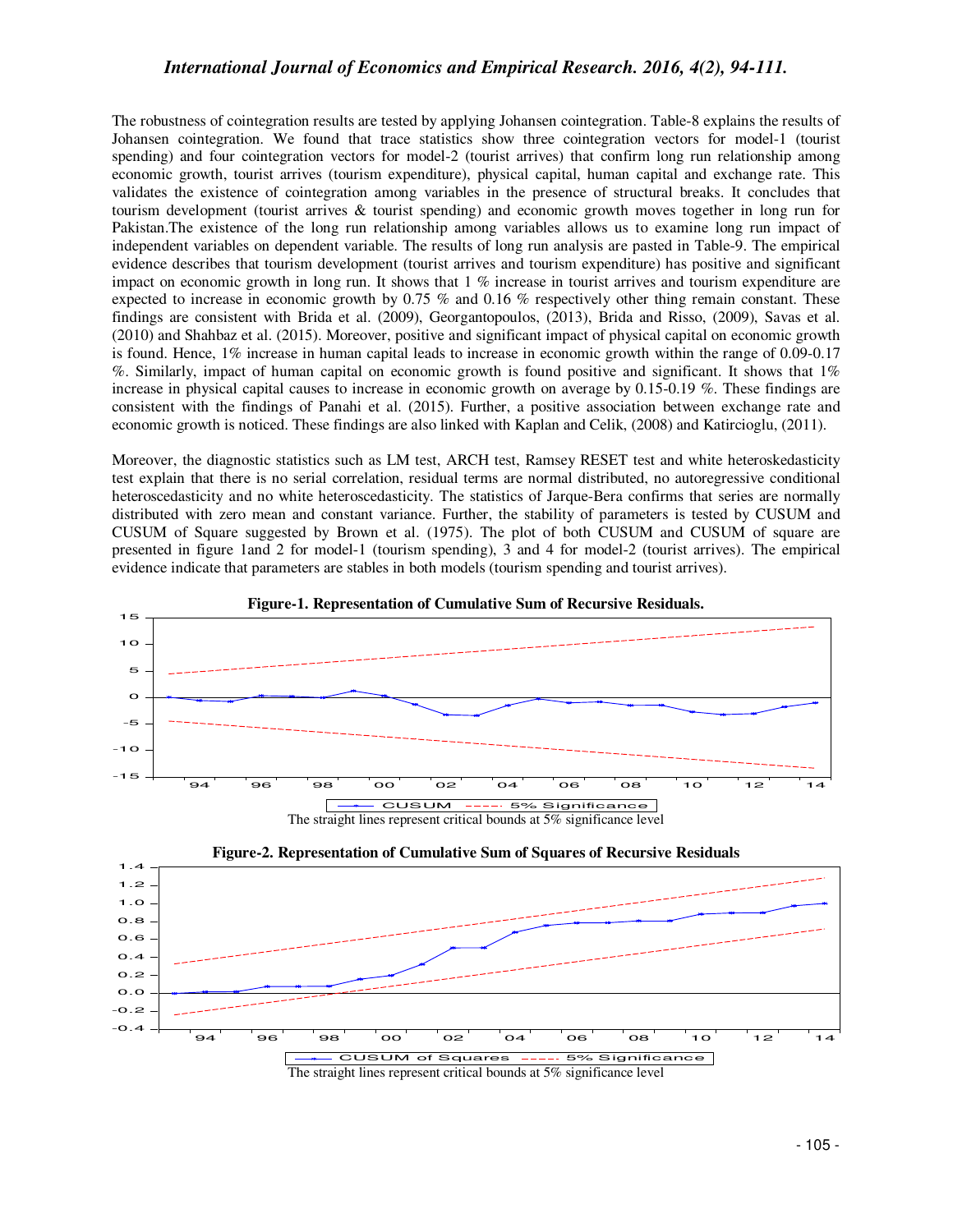The robustness of cointegration results are tested by applying Johansen cointegration. Table-8 explains the results of Johansen cointegration. We found that trace statistics show three cointegration vectors for model-1 (tourist spending) and four cointegration vectors for model-2 (tourist arrives) that confirm long run relationship among economic growth, tourist arrives (tourism expenditure), physical capital, human capital and exchange rate. This validates the existence of cointegration among variables in the presence of structural breaks. It concludes that tourism development (tourist arrives & tourist spending) and economic growth moves together in long run for Pakistan.The existence of the long run relationship among variables allows us to examine long run impact of independent variables on dependent variable. The results of long run analysis are pasted in Table-9. The empirical evidence describes that tourism development (tourist arrives and tourism expenditure) has positive and significant impact on economic growth in long run. It shows that  $1\%$  increase in tourist arrives and tourism expenditure are expected to increase in economic growth by 0.75 % and 0.16 % respectively other thing remain constant. These findings are consistent with Brida et al. (2009), Georgantopoulos, (2013), Brida and Risso, (2009), Savas et al. (2010) and Shahbaz et al. (2015). Moreover, positive and significant impact of physical capital on economic growth is found. Hence, 1% increase in human capital leads to increase in economic growth within the range of 0.09-0.17 %. Similarly, impact of human capital on economic growth is found positive and significant. It shows that 1% increase in physical capital causes to increase in economic growth on average by 0.15-0.19 %. These findings are consistent with the findings of Panahi et al. (2015). Further, a positive association between exchange rate and economic growth is noticed. These findings are also linked with Kaplan and Celik, (2008) and Katircioglu, (2011).

Moreover, the diagnostic statistics such as LM test, ARCH test, Ramsey RESET test and white heteroskedasticity test explain that there is no serial correlation, residual terms are normal distributed, no autoregressive conditional heteroscedasticity and no white heteroscedasticity. The statistics of Jarque-Bera confirms that series are normally distributed with zero mean and constant variance. Further, the stability of parameters is tested by CUSUM and CUSUM of Square suggested by Brown et al. (1975). The plot of both CUSUM and CUSUM of square are presented in figure 1and 2 for model-1 (tourism spending), 3 and 4 for model-2 (tourist arrives). The empirical evidence indicate that parameters are stables in both models (tourism spending and tourist arrives).



#### **Figure-1. Representation of Cumulative Sum of Recursive Residuals.**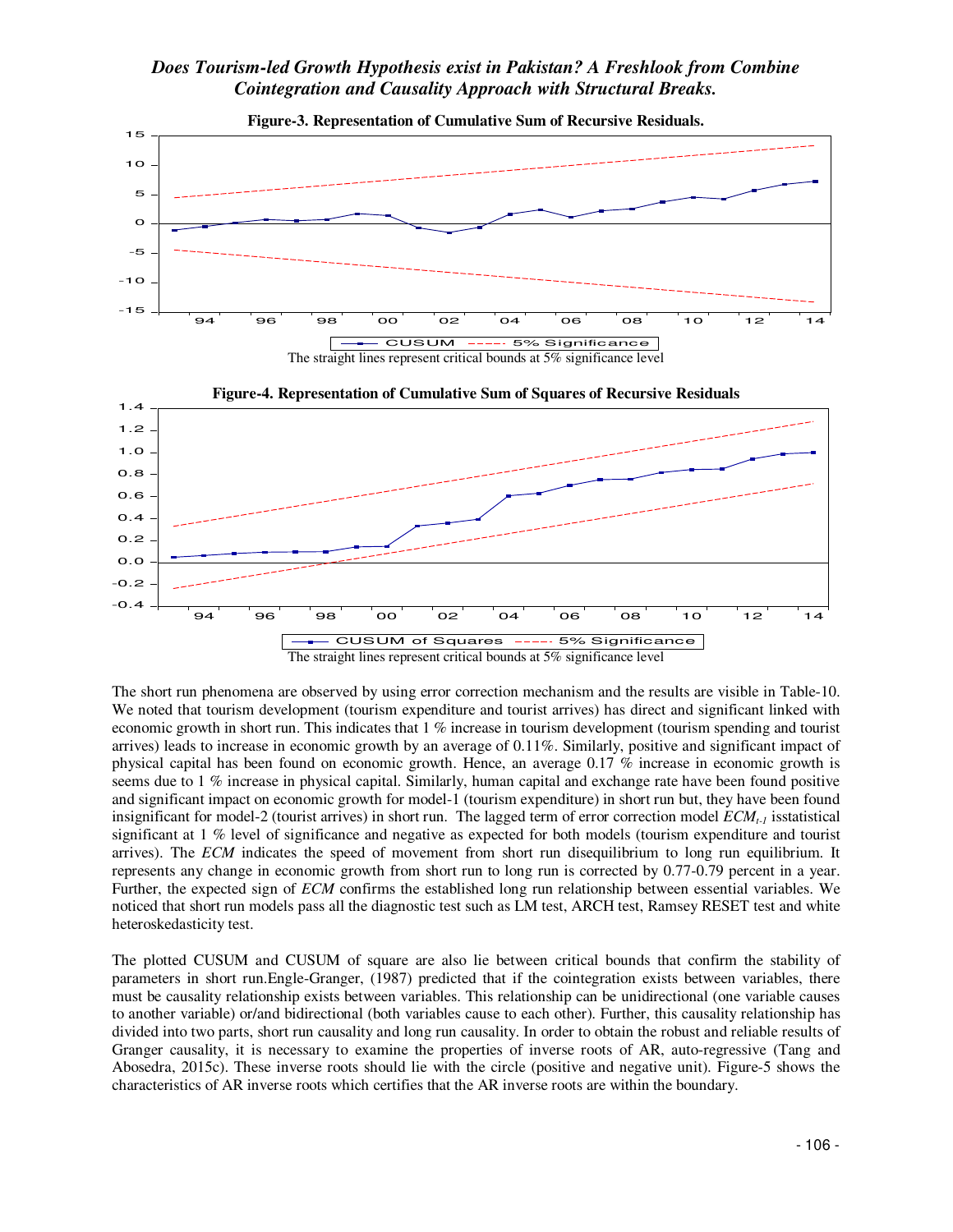

The short run phenomena are observed by using error correction mechanism and the results are visible in Table-10. We noted that tourism development (tourism expenditure and tourist arrives) has direct and significant linked with economic growth in short run. This indicates that 1 % increase in tourism development (tourism spending and tourist arrives) leads to increase in economic growth by an average of 0.11%. Similarly, positive and significant impact of physical capital has been found on economic growth. Hence, an average 0.17 % increase in economic growth is seems due to 1 % increase in physical capital. Similarly, human capital and exchange rate have been found positive and significant impact on economic growth for model-1 (tourism expenditure) in short run but, they have been found insignificant for model-2 (tourist arrives) in short run. The lagged term of error correction model *ECMt-1* isstatistical significant at 1 % level of significance and negative as expected for both models (tourism expenditure and tourist arrives). The *ECM* indicates the speed of movement from short run disequilibrium to long run equilibrium. It represents any change in economic growth from short run to long run is corrected by 0.77-0.79 percent in a year. Further, the expected sign of *ECM* confirms the established long run relationship between essential variables. We noticed that short run models pass all the diagnostic test such as LM test, ARCH test, Ramsey RESET test and white heteroskedasticity test.

The plotted CUSUM and CUSUM of square are also lie between critical bounds that confirm the stability of parameters in short run.Engle-Granger, (1987) predicted that if the cointegration exists between variables, there must be causality relationship exists between variables. This relationship can be unidirectional (one variable causes to another variable) or/and bidirectional (both variables cause to each other). Further, this causality relationship has divided into two parts, short run causality and long run causality. In order to obtain the robust and reliable results of Granger causality, it is necessary to examine the properties of inverse roots of AR, auto-regressive (Tang and Abosedra, 2015c). These inverse roots should lie with the circle (positive and negative unit). Figure-5 shows the characteristics of AR inverse roots which certifies that the AR inverse roots are within the boundary.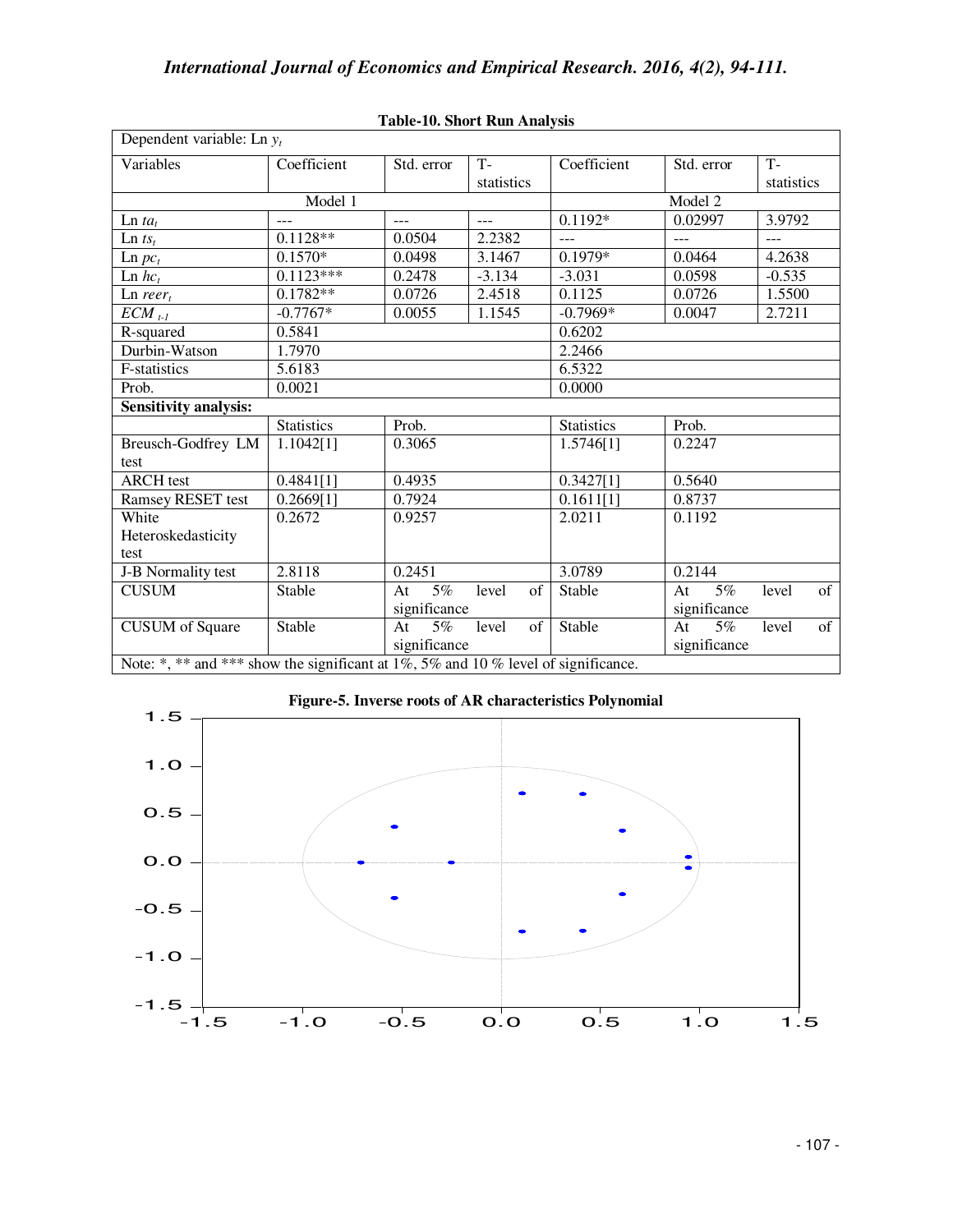| Dependent variable: Ln $y_t$                                                      |                   |              |             |                   |                |             |  |  |
|-----------------------------------------------------------------------------------|-------------------|--------------|-------------|-------------------|----------------|-------------|--|--|
| Variables                                                                         | Coefficient       | Std. error   | $T -$       | Coefficient       | Std. error     | $T -$       |  |  |
|                                                                                   |                   |              | statistics  |                   |                | statistics  |  |  |
|                                                                                   | Model 1           | Model 2      |             |                   |                |             |  |  |
| $\text{Ln} ta_t$                                                                  | $---$             | $---$        | $---$       | $0.1192*$         | 0.02997        | 3.9792      |  |  |
| $\text{Ln} \, t s_t$                                                              | $0.1128**$        | 0.0504       | 2.2382      | ---               | $\overline{a}$ |             |  |  |
| $\text{Ln } pc_t$                                                                 | $0.1570*$         | 0.0498       | 3.1467      | 0.1979*           | 0.0464         | 4.2638      |  |  |
| $\text{Ln}$ $hc_t$                                                                | $0.1123***$       | 0.2478       | $-3.134$    | $-3.031$          | 0.0598         | $-0.535$    |  |  |
| $\text{Ln } \text{reer}_t$                                                        | $0.1782**$        | 0.0726       | 2.4518      | 0.1125            | 0.0726         | 1.5500      |  |  |
| $ECM$ <sub>t-1</sub>                                                              | $-0.7767*$        | 0.0055       | 1.1545      | $-0.7969*$        | 0.0047         | 2.7211      |  |  |
| R-squared                                                                         | 0.5841            |              |             | 0.6202            |                |             |  |  |
| Durbin-Watson                                                                     | 1.7970            |              |             | 2.2466            |                |             |  |  |
| F-statistics                                                                      | 5.6183            |              |             | 6.5322            |                |             |  |  |
| Prob.                                                                             | 0.0021            |              |             | 0.0000            |                |             |  |  |
| <b>Sensitivity analysis:</b>                                                      |                   |              |             |                   |                |             |  |  |
|                                                                                   | <b>Statistics</b> | Prob.        |             | <b>Statistics</b> | Prob.          |             |  |  |
| Breusch-Godfrey LM                                                                | 1.1042[1]         | 0.3065       |             | 1.5746[1]         | 0.2247         |             |  |  |
| test                                                                              |                   |              |             |                   |                |             |  |  |
| <b>ARCH</b> test                                                                  | 0.4841[1]         | 0.4935       |             | 0.3427[1]         | 0.5640         |             |  |  |
| Ramsey RESET test                                                                 | 0.2669[1]         | 0.7924       |             | 0.1611[1]         | 0.8737         |             |  |  |
| White                                                                             | 0.2672            | 0.9257       |             | 2.0211            | 0.1192         |             |  |  |
| Heteroskedasticity                                                                |                   |              |             |                   |                |             |  |  |
| test                                                                              |                   |              |             |                   |                |             |  |  |
| J-B Normality test                                                                | 2.8118            | 0.2451       |             | 3.0789            | 0.2144         |             |  |  |
| <b>CUSUM</b>                                                                      | Stable            | $5\%$<br>At  | level<br>of | Stable            | $5\%$<br>At    | of<br>level |  |  |
|                                                                                   |                   | significance |             |                   | significance   |             |  |  |
| <b>CUSUM</b> of Square                                                            | Stable            | 5%<br>At     | level<br>of | Stable            | 5%<br>At       | of<br>level |  |  |
|                                                                                   |                   | significance |             |                   | significance   |             |  |  |
| Note: *, ** and *** show the significant at 1%, 5% and 10% level of significance. |                   |              |             |                   |                |             |  |  |

### **Table-10. Short Run Analysis**

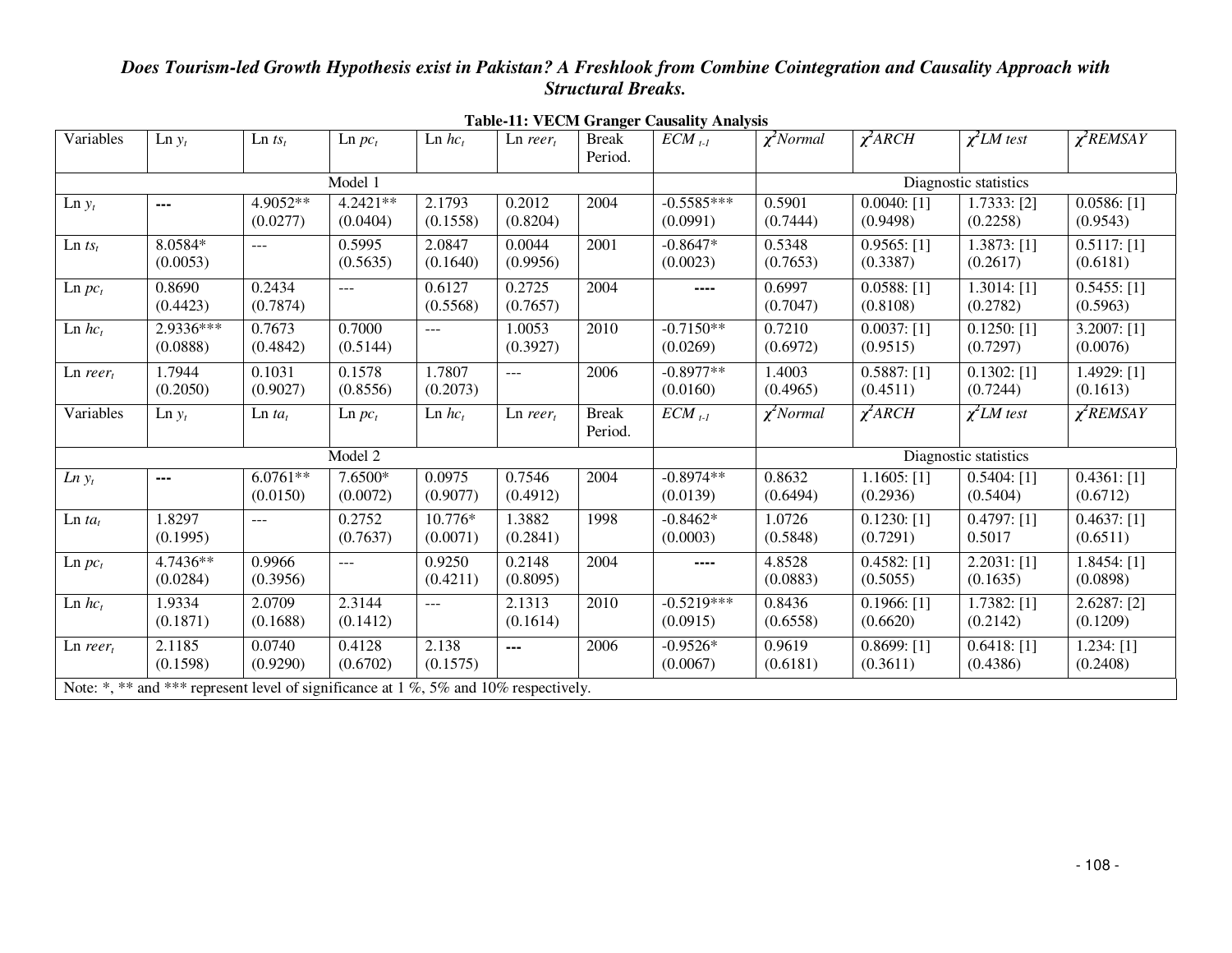| Variables                                                                            | $\text{Ln } y_t$       | $\text{Ln} \, t s_t$   | $\text{Ln } pc_t$      | $\text{Ln}$ $hc_t$   | $\text{Ln } \text{reer}_t$ | <b>Break</b><br>Period. | $ECM_{t-1}$              | $\chi^2$ Normal    | $\chi^2$ ARCH             | $\chi^2$ LM test           | $\chi^2$ REMSAY                       |
|--------------------------------------------------------------------------------------|------------------------|------------------------|------------------------|----------------------|----------------------------|-------------------------|--------------------------|--------------------|---------------------------|----------------------------|---------------------------------------|
| Model 1                                                                              |                        |                        |                        |                      |                            |                         | Diagnostic statistics    |                    |                           |                            |                                       |
| $\text{Ln } y_t$                                                                     | $\cdots$               | 4.9052**<br>(0.0277)   | $4.2421**$<br>(0.0404) | 2.1793<br>(0.1558)   | 0.2012<br>(0.8204)         | 2004                    | $-0.5585***$<br>(0.0991) | 0.5901<br>(0.7444) | $0.0040:$ [1]<br>(0.9498) | 1.7333: [2]<br>(0.2258)    | 0.0586: [1]<br>(0.9543)               |
| $\text{Ln} \, t s_t$                                                                 | 8.0584*<br>(0.0053)    | $ -$                   | 0.5995<br>(0.5635)     | 2.0847<br>(0.1640)   | 0.0044<br>(0.9956)         | 2001                    | $-0.8647*$<br>(0.0023)   | 0.5348<br>(0.7653) | 0.9565: [1]<br>(0.3387)   | $1.3873$ : [1]<br>(0.2617) | $0.5117:$ [1]<br>(0.6181)             |
| $\text{Ln } pc_t$                                                                    | 0.8690<br>(0.4423)     | 0.2434<br>(0.7874)     | $\overline{a}$         | 0.6127<br>(0.5568)   | 0.2725<br>(0.7657)         | 2004                    | ----                     | 0.6997<br>(0.7047) | 0.0588: [1]<br>(0.8108)   | $1.3014$ : [1]<br>(0.2782) | $0.5455$ : [1]<br>(0.5963)            |
| $\text{Ln}$ $hc_t$                                                                   | 2.9336***<br>(0.0888)  | 0.7673<br>(0.4842)     | 0.7000<br>(0.5144)     | $\sim$ $\sim$ $\sim$ | 1.0053<br>(0.3927)         | 2010                    | $-0.7150**$<br>(0.0269)  | 0.7210<br>(0.6972) | $0.0037:$ [1]<br>(0.9515) | $0.1250:$ [1]<br>(0.7297)  | 3.2007: [1]<br>(0.0076)               |
| $\text{Ln } \text{reer}_t$                                                           | 1.7944<br>(0.2050)     | 0.1031<br>(0.9027)     | 0.1578<br>(0.8556)     | 1.7807<br>(0.2073)   | $ -$                       | 2006                    | $-0.8977**$<br>(0.0160)  | 1.4003<br>(0.4965) | 0.5887: [1]<br>(0.4511)   | $0.1302:$ [1]<br>(0.7244)  | 1.4929: [1]<br>(0.1613)               |
| Variables                                                                            | $\text{Ln } y_t$       | $\text{Ln } ta_t$      | $\text{Ln } pc_t$      | $\text{Ln}$ $hc_t$   | $Ln$ reer <sub>t</sub>     | <b>Break</b><br>Period. | $ECM_{t-1}$              | $\chi^2$ Normal    | $\chi^2$ ARCH             | $\chi^2$ LM test           | $\chi^2$ REMSAY                       |
| Model 2                                                                              |                        |                        |                        |                      |                            | Diagnostic statistics   |                          |                    |                           |                            |                                       |
| $Ln y_t$                                                                             | $\qquad \qquad \cdots$ | $6.0761**$<br>(0.0150) | 7.6500*<br>(0.0072)    | 0.0975<br>(0.9077)   | 0.7546<br>(0.4912)         | 2004                    | $-0.8974**$<br>(0.0139)  | 0.8632<br>(0.6494) | $1.1605:$ [1]<br>(0.2936) | $0.5404$ : [1]<br>(0.5404) | $\overline{0.4361}$ : [1]<br>(0.6712) |
| $\text{Ln} t a_t$                                                                    | 1.8297<br>(0.1995)     | ---                    | 0.2752<br>(0.7637)     | 10.776*<br>(0.0071)  | 1.3882<br>(0.2841)         | 1998                    | $-0.8462*$<br>(0.0003)   | 1.0726<br>(0.5848) | $0.1230:$ [1]<br>(0.7291) | 0.4797: [1]<br>0.5017      | $0.4637:$ [1]<br>(0.6511)             |
| $\text{Ln } pc_t$                                                                    | 4.7436**<br>(0.0284)   | 0.9966<br>(0.3956)     | $\overline{a}$         | 0.9250<br>(0.4211)   | 0.2148<br>(0.8095)         | 2004                    | ----                     | 4.8528<br>(0.0883) | 0.4582: [1]<br>(0.5055)   | 2.2031: [1]<br>(0.1635)    | $1.8454$ : [1]<br>(0.0898)            |
| $\text{Ln}$ $\mathit{hc}_t$                                                          | 1.9334<br>(0.1871)     | 2.0709<br>(0.1688)     | 2.3144<br>(0.1412)     | $\cdots$             | 2.1313<br>(0.1614)         | 2010                    | $-0.5219***$<br>(0.0915) | 0.8436<br>(0.6558) | $0.1966:$ [1]<br>(0.6620) | 1.7382: [1]<br>(0.2142)    | 2.6287: [2]<br>(0.1209)               |
| $\text{Ln } \text{reer}_t$                                                           | 2.1185<br>(0.1598)     | 0.0740<br>(0.9290)     | 0.4128<br>(0.6702)     | 2.138<br>(0.1575)    | ---                        | 2006                    | $-0.9526*$<br>(0.0067)   | 0.9619<br>(0.6181) | 0.8699: [1]<br>(0.3611)   | $0.6418:$ [1]<br>(0.4386)  | 1.234: [1]<br>(0.2408)                |
| Note: *, ** and *** represent level of significance at 1 %, 5% and 10% respectively. |                        |                        |                        |                      |                            |                         |                          |                    |                           |                            |                                       |

**Table-11: VECM Granger Causality Analysis**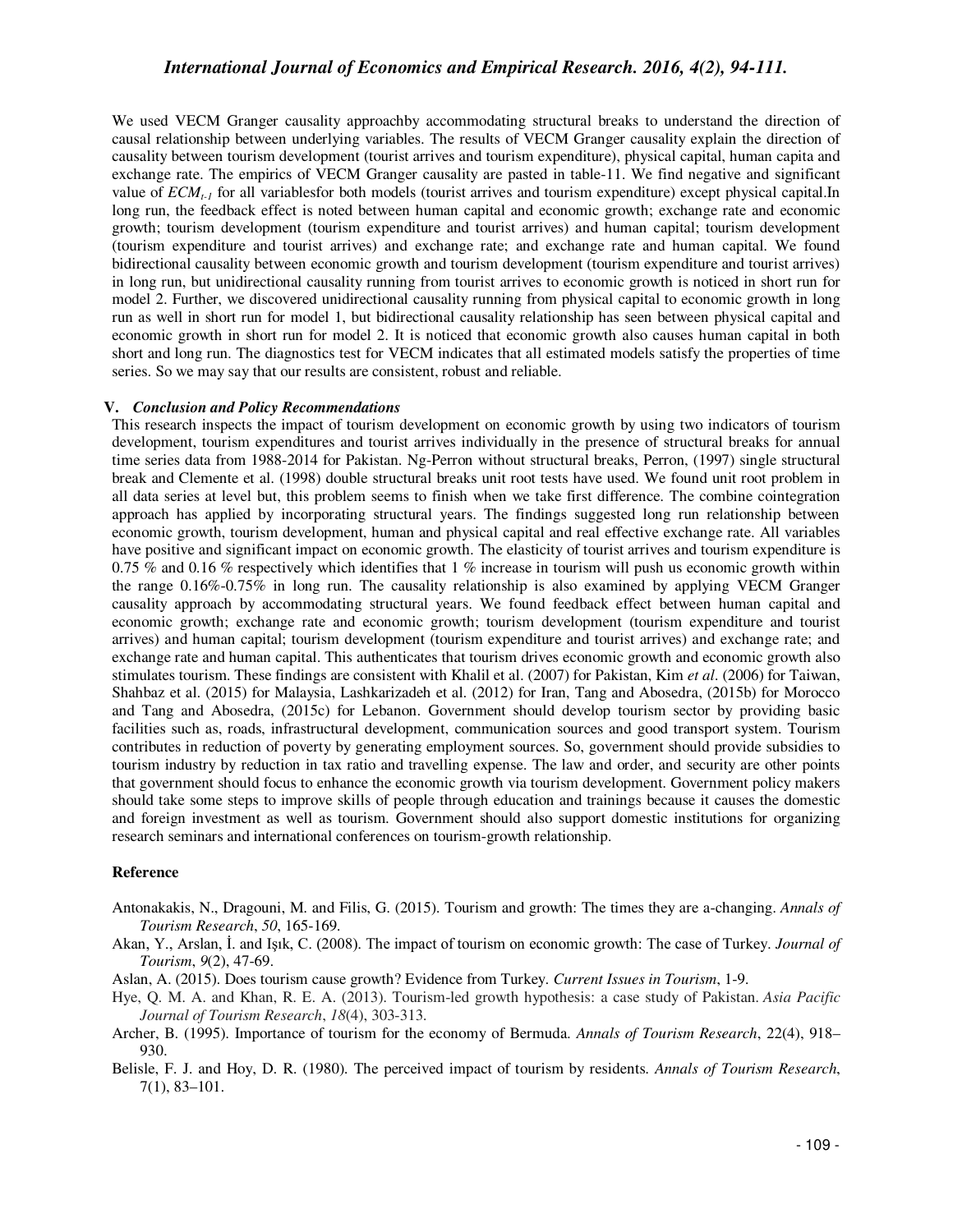We used VECM Granger causality approachby accommodating structural breaks to understand the direction of causal relationship between underlying variables. The results of VECM Granger causality explain the direction of causality between tourism development (tourist arrives and tourism expenditure), physical capital, human capita and exchange rate. The empirics of VECM Granger causality are pasted in table-11. We find negative and significant value of *ECMt-1* for all variablesfor both models (tourist arrives and tourism expenditure) except physical capital.In long run, the feedback effect is noted between human capital and economic growth; exchange rate and economic growth; tourism development (tourism expenditure and tourist arrives) and human capital; tourism development (tourism expenditure and tourist arrives) and exchange rate; and exchange rate and human capital. We found bidirectional causality between economic growth and tourism development (tourism expenditure and tourist arrives) in long run, but unidirectional causality running from tourist arrives to economic growth is noticed in short run for model 2. Further, we discovered unidirectional causality running from physical capital to economic growth in long run as well in short run for model 1, but bidirectional causality relationship has seen between physical capital and economic growth in short run for model 2. It is noticed that economic growth also causes human capital in both short and long run. The diagnostics test for VECM indicates that all estimated models satisfy the properties of time series. So we may say that our results are consistent, robust and reliable.

#### **V.** *Conclusion and Policy Recommendations*

This research inspects the impact of tourism development on economic growth by using two indicators of tourism development, tourism expenditures and tourist arrives individually in the presence of structural breaks for annual time series data from 1988-2014 for Pakistan. Ng-Perron without structural breaks, Perron, (1997) single structural break and Clemente et al. (1998) double structural breaks unit root tests have used. We found unit root problem in all data series at level but, this problem seems to finish when we take first difference. The combine cointegration approach has applied by incorporating structural years. The findings suggested long run relationship between economic growth, tourism development, human and physical capital and real effective exchange rate. All variables have positive and significant impact on economic growth. The elasticity of tourist arrives and tourism expenditure is 0.75 % and 0.16 % respectively which identifies that 1 % increase in tourism will push us economic growth within the range 0.16%-0.75% in long run. The causality relationship is also examined by applying VECM Granger causality approach by accommodating structural years. We found feedback effect between human capital and economic growth; exchange rate and economic growth; tourism development (tourism expenditure and tourist arrives) and human capital; tourism development (tourism expenditure and tourist arrives) and exchange rate; and exchange rate and human capital. This authenticates that tourism drives economic growth and economic growth also stimulates tourism. These findings are consistent with Khalil et al. (2007) for Pakistan, Kim *et al*. (2006) for Taiwan, Shahbaz et al. (2015) for Malaysia, Lashkarizadeh et al. (2012) for Iran, Tang and Abosedra, (2015b) for Morocco and Tang and Abosedra, (2015c) for Lebanon. Government should develop tourism sector by providing basic facilities such as, roads, infrastructural development, communication sources and good transport system. Tourism contributes in reduction of poverty by generating employment sources. So, government should provide subsidies to tourism industry by reduction in tax ratio and travelling expense. The law and order, and security are other points that government should focus to enhance the economic growth via tourism development. Government policy makers should take some steps to improve skills of people through education and trainings because it causes the domestic and foreign investment as well as tourism. Government should also support domestic institutions for organizing research seminars and international conferences on tourism-growth relationship.

#### **Reference**

- Antonakakis, N., Dragouni, M. and Filis, G. (2015). Tourism and growth: The times they are a-changing. *Annals of Tourism Research*, *50*, 165-169.
- Akan, Y., Arslan, İ. and Işık, C. (2008). The impact of tourism on economic growth: The case of Turkey. *Journal of Tourism*, *9*(2), 47-69.
- Aslan, A. (2015). Does tourism cause growth? Evidence from Turkey. *Current Issues in Tourism*, 1-9.
- Hye, Q. M. A. and Khan, R. E. A. (2013). Tourism-led growth hypothesis: a case study of Pakistan. *Asia Pacific Journal of Tourism Research*, *18*(4), 303-313.
- Archer, B. (1995). Importance of tourism for the economy of Bermuda. *Annals of Tourism Research*, 22(4), 918– 930.
- Belisle, F. J. and Hoy, D. R. (1980). The perceived impact of tourism by residents. *Annals of Tourism Research*, 7(1), 83–101.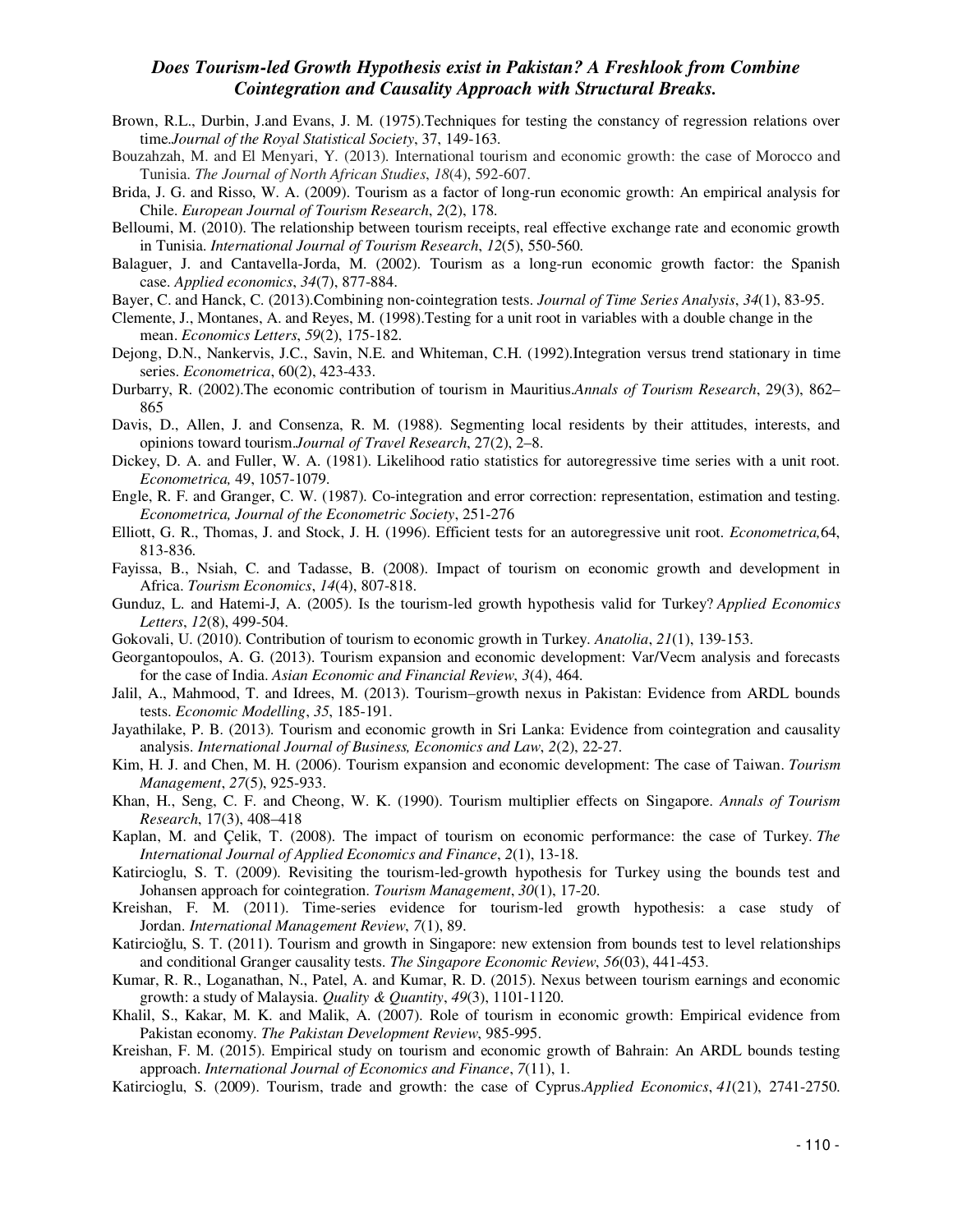- Brown, R.L., Durbin, J.and Evans, J. M. (1975).Techniques for testing the constancy of regression relations over time.*Journal of the Royal Statistical Society*, 37, 149-163.
- Bouzahzah, M. and El Menyari, Y. (2013). International tourism and economic growth: the case of Morocco and Tunisia. *The Journal of North African Studies*, *18*(4), 592-607.
- Brida, J. G. and Risso, W. A. (2009). Tourism as a factor of long-run economic growth: An empirical analysis for Chile. *European Journal of Tourism Research*, *2*(2), 178.
- Belloumi, M. (2010). The relationship between tourism receipts, real effective exchange rate and economic growth in Tunisia. *International Journal of Tourism Research*, *12*(5), 550-560.
- Balaguer, J. and Cantavella-Jorda, M. (2002). Tourism as a long-run economic growth factor: the Spanish case. *Applied economics*, *34*(7), 877-884.
- Bayer, C. and Hanck, C. (2013).Combining non‐cointegration tests. *Journal of Time Series Analysis*, *34*(1), 83-95.
- Clemente, J., Montanes, A. and Reyes, M. (1998).Testing for a unit root in variables with a double change in the mean. *Economics Letters*, *59*(2), 175-182.
- Dejong, D.N., Nankervis, J.C., Savin, N.E. and Whiteman, C.H. (1992).Integration versus trend stationary in time series. *Econometrica*, 60(2), 423-433.
- Durbarry, R. (2002).The economic contribution of tourism in Mauritius.*Annals of Tourism Research*, 29(3), 862– 865
- Davis, D., Allen, J. and Consenza, R. M. (1988). Segmenting local residents by their attitudes, interests, and opinions toward tourism.*Journal of Travel Research*, 27(2), 2–8.
- Dickey, D. A. and Fuller, W. A. (1981). Likelihood ratio statistics for autoregressive time series with a unit root. *Econometrica,* 49, 1057-1079.
- Engle, R. F. and Granger, C. W. (1987). Co-integration and error correction: representation, estimation and testing. *Econometrica, Journal of the Econometric Society*, 251-276
- Elliott, G. R., Thomas, J. and Stock, J. H. (1996). Efficient tests for an autoregressive unit root. *Econometrica,*64, 813-836.
- Fayissa, B., Nsiah, C. and Tadasse, B. (2008). Impact of tourism on economic growth and development in Africa. *Tourism Economics*, *14*(4), 807-818.
- Gunduz, L. and Hatemi-J, A. (2005). Is the tourism-led growth hypothesis valid for Turkey? *Applied Economics Letters*, *12*(8), 499-504.
- Gokovali, U. (2010). Contribution of tourism to economic growth in Turkey. *Anatolia*, *21*(1), 139-153.
- Georgantopoulos, A. G. (2013). Tourism expansion and economic development: Var/Vecm analysis and forecasts for the case of India. *Asian Economic and Financial Review*, *3*(4), 464.
- Jalil, A., Mahmood, T. and Idrees, M. (2013). Tourism–growth nexus in Pakistan: Evidence from ARDL bounds tests. *Economic Modelling*, *35*, 185-191.
- Jayathilake, P. B. (2013). Tourism and economic growth in Sri Lanka: Evidence from cointegration and causality analysis. *International Journal of Business, Economics and Law*, *2*(2), 22-27.
- Kim, H. J. and Chen, M. H. (2006). Tourism expansion and economic development: The case of Taiwan. *Tourism Management*, *27*(5), 925-933.
- Khan, H., Seng, C. F. and Cheong, W. K. (1990). Tourism multiplier effects on Singapore. *Annals of Tourism Research*, 17(3), 408–418
- Kaplan, M. and Çelik, T. (2008). The impact of tourism on economic performance: the case of Turkey. *The International Journal of Applied Economics and Finance*, *2*(1), 13-18.
- Katircioglu, S. T. (2009). Revisiting the tourism-led-growth hypothesis for Turkey using the bounds test and Johansen approach for cointegration. *Tourism Management*, *30*(1), 17-20.
- Kreishan, F. M. (2011). Time-series evidence for tourism-led growth hypothesis: a case study of Jordan. *International Management Review*, *7*(1), 89.
- Katircioǧlu, S. T. (2011). Tourism and growth in Singapore: new extension from bounds test to level relationships and conditional Granger causality tests. *The Singapore Economic Review*, *56*(03), 441-453.
- Kumar, R. R., Loganathan, N., Patel, A. and Kumar, R. D. (2015). Nexus between tourism earnings and economic growth: a study of Malaysia. *Quality & Quantity*, *49*(3), 1101-1120.
- Khalil, S., Kakar, M. K. and Malik, A. (2007). Role of tourism in economic growth: Empirical evidence from Pakistan economy. *The Pakistan Development Review*, 985-995.
- Kreishan, F. M. (2015). Empirical study on tourism and economic growth of Bahrain: An ARDL bounds testing approach. *International Journal of Economics and Finance*, *7*(11), 1.
- Katircioglu, S. (2009). Tourism, trade and growth: the case of Cyprus.*Applied Economics*, *41*(21), 2741-2750.